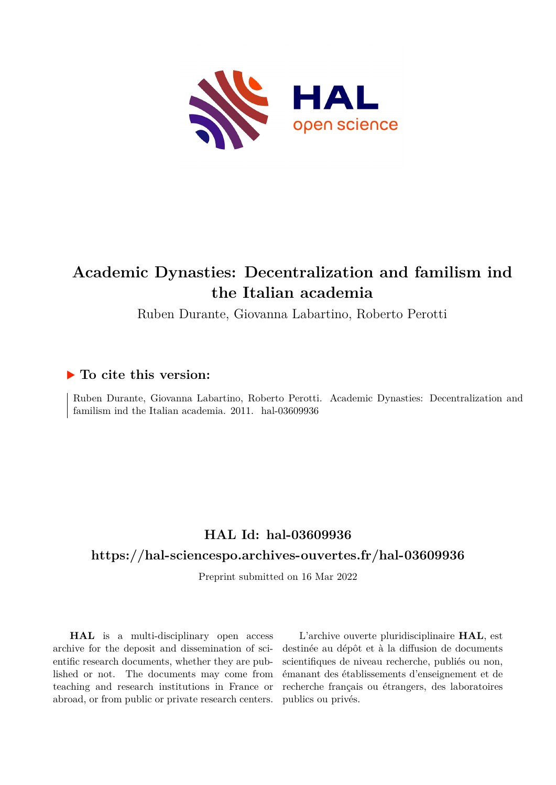

# **Academic Dynasties: Decentralization and familism ind the Italian academia**

Ruben Durante, Giovanna Labartino, Roberto Perotti

# **To cite this version:**

Ruben Durante, Giovanna Labartino, Roberto Perotti. Academic Dynasties: Decentralization and familism ind the Italian academia.  $2011.$  hal- $03609936$ 

# **HAL Id: hal-03609936**

# **<https://hal-sciencespo.archives-ouvertes.fr/hal-03609936>**

Preprint submitted on 16 Mar 2022

**HAL** is a multi-disciplinary open access archive for the deposit and dissemination of scientific research documents, whether they are published or not. The documents may come from teaching and research institutions in France or abroad, or from public or private research centers.

L'archive ouverte pluridisciplinaire **HAL**, est destinée au dépôt et à la diffusion de documents scientifiques de niveau recherche, publiés ou non, émanant des établissements d'enseignement et de recherche français ou étrangers, des laboratoires publics ou privés.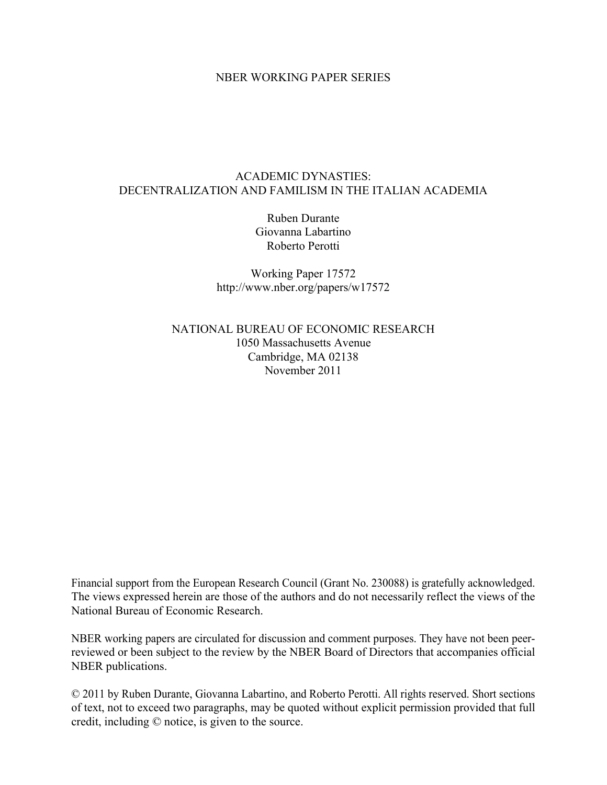# NBER WORKING PAPER SERIES

# ACADEMIC DYNASTIES: DECENTRALIZATION AND FAMILISM IN THE ITALIAN ACADEMIA

Ruben Durante Giovanna Labartino Roberto Perotti

Working Paper 17572 http://www.nber.org/papers/w17572

NATIONAL BUREAU OF ECONOMIC RESEARCH 1050 Massachusetts Avenue Cambridge, MA 02138 November 2011

Financial support from the European Research Council (Grant No. 230088) is gratefully acknowledged. The views expressed herein are those of the authors and do not necessarily reflect the views of the National Bureau of Economic Research.

NBER working papers are circulated for discussion and comment purposes. They have not been peerreviewed or been subject to the review by the NBER Board of Directors that accompanies official NBER publications.

© 2011 by Ruben Durante, Giovanna Labartino, and Roberto Perotti. All rights reserved. Short sections of text, not to exceed two paragraphs, may be quoted without explicit permission provided that full credit, including © notice, is given to the source.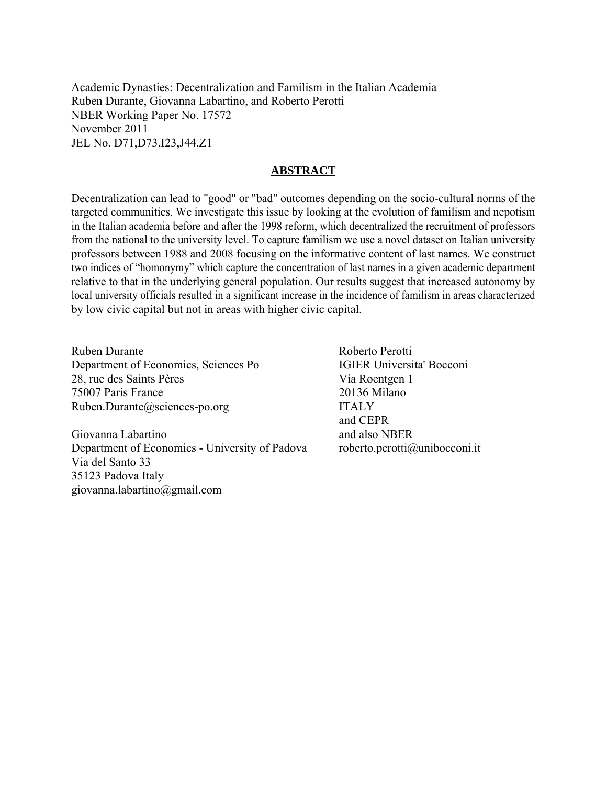Academic Dynasties: Decentralization and Familism in the Italian Academia Ruben Durante, Giovanna Labartino, and Roberto Perotti NBER Working Paper No. 17572 November 2011 JEL No. D71,D73,I23,J44,Z1

# **ABSTRACT**

Decentralization can lead to "good" or "bad" outcomes depending on the socio-cultural norms of the targeted communities. We investigate this issue by looking at the evolution of familism and nepotism in the Italian academia before and after the 1998 reform, which decentralized the recruitment of professors from the national to the university level. To capture familism we use a novel dataset on Italian university professors between 1988 and 2008 focusing on the informative content of last names. We construct two indices of "homonymy" which capture the concentration of last names in a given academic department relative to that in the underlying general population. Our results suggest that increased autonomy by local university officials resulted in a significant increase in the incidence of familism in areas characterized by low civic capital but not in areas with higher civic capital.

Ruben Durante Department of Economics, Sciences Po 28, rue des Saints Pères 75007 Paris France Ruben.Durante@sciences-po.org

Giovanna Labartino Department of Economics - University of Padova Via del Santo 33 35123 Padova Italy giovanna.labartino@gmail.com

 Roberto Perotti IGIER Universita' Bocconi Via Roentgen 1 20136 Milano ITALY and CEPR and also NBER roberto.perotti@unibocconi.it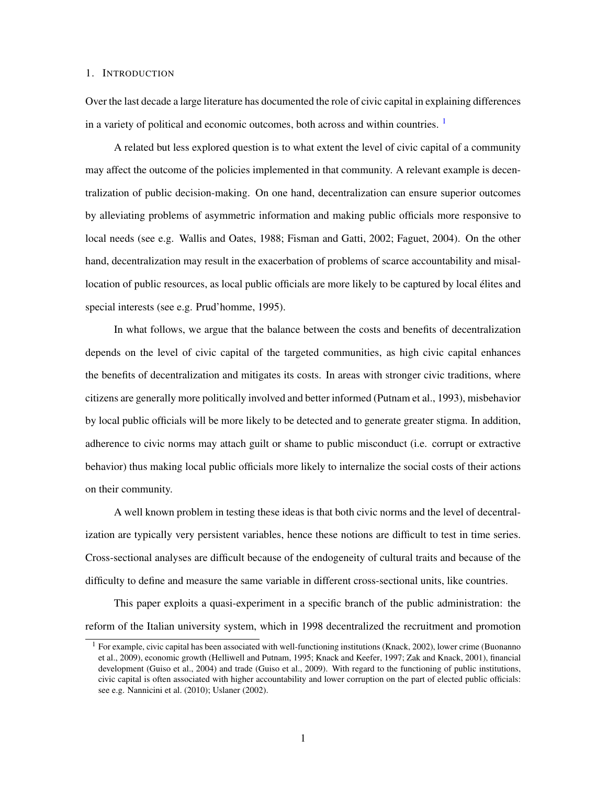#### 1. INTRODUCTION

Over the last decade a large literature has documented the role of civic capital in explaining differences in a variety of political and economic outcomes, both across and within countries. 1

A related but less explored question is to what extent the level of civic capital of a community may affect the outcome of the policies implemented in that community. A relevant example is decentralization of public decision-making. On one hand, decentralization can ensure superior outcomes by alleviating problems of asymmetric information and making public officials more responsive to local needs (see e.g. Wallis and Oates, 1988; Fisman and Gatti, 2002; Faguet, 2004). On the other hand, decentralization may result in the exacerbation of problems of scarce accountability and misallocation of public resources, as local public officials are more likely to be captured by local élites and special interests (see e.g. Prud'homme, 1995).

In what follows, we argue that the balance between the costs and benefits of decentralization depends on the level of civic capital of the targeted communities, as high civic capital enhances the benefits of decentralization and mitigates its costs. In areas with stronger civic traditions, where citizens are generally more politically involved and better informed (Putnam et al., 1993), misbehavior by local public officials will be more likely to be detected and to generate greater stigma. In addition, adherence to civic norms may attach guilt or shame to public misconduct (i.e. corrupt or extractive behavior) thus making local public officials more likely to internalize the social costs of their actions on their community.

A well known problem in testing these ideas is that both civic norms and the level of decentralization are typically very persistent variables, hence these notions are difficult to test in time series. Cross-sectional analyses are difficult because of the endogeneity of cultural traits and because of the difficulty to define and measure the same variable in different cross-sectional units, like countries.

This paper exploits a quasi-experiment in a specific branch of the public administration: the reform of the Italian university system, which in 1998 decentralized the recruitment and promotion

<sup>&</sup>lt;sup>1</sup> For example, civic capital has been associated with well-functioning institutions (Knack, 2002), lower crime (Buonanno et al., 2009), economic growth (Helliwell and Putnam, 1995; Knack and Keefer, 1997; Zak and Knack, 2001), financial development (Guiso et al., 2004) and trade (Guiso et al., 2009). With regard to the functioning of public institutions, civic capital is often associated with higher accountability and lower corruption on the part of elected public officials: see e.g. Nannicini et al. (2010); Uslaner (2002).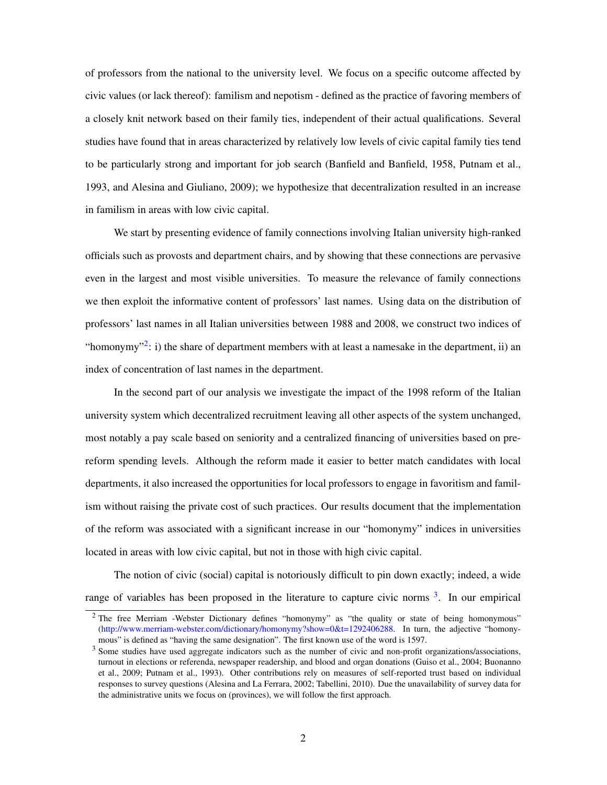of professors from the national to the university level. We focus on a specific outcome affected by civic values (or lack thereof): familism and nepotism - defined as the practice of favoring members of a closely knit network based on their family ties, independent of their actual qualifications. Several studies have found that in areas characterized by relatively low levels of civic capital family ties tend to be particularly strong and important for job search (Banfield and Banfield, 1958, Putnam et al., 1993, and Alesina and Giuliano, 2009); we hypothesize that decentralization resulted in an increase in familism in areas with low civic capital.

We start by presenting evidence of family connections involving Italian university high-ranked officials such as provosts and department chairs, and by showing that these connections are pervasive even in the largest and most visible universities. To measure the relevance of family connections we then exploit the informative content of professors' last names. Using data on the distribution of professors' last names in all Italian universities between 1988 and 2008, we construct two indices of "homonymy"<sup>2</sup>: i) the share of department members with at least a namesake in the department, ii) an index of concentration of last names in the department.

In the second part of our analysis we investigate the impact of the 1998 reform of the Italian university system which decentralized recruitment leaving all other aspects of the system unchanged, most notably a pay scale based on seniority and a centralized financing of universities based on prereform spending levels. Although the reform made it easier to better match candidates with local departments, it also increased the opportunities for local professors to engage in favoritism and familism without raising the private cost of such practices. Our results document that the implementation of the reform was associated with a significant increase in our "homonymy" indices in universities located in areas with low civic capital, but not in those with high civic capital.

The notion of civic (social) capital is notoriously difficult to pin down exactly; indeed, a wide range of variables has been proposed in the literature to capture civic norms <sup>3</sup>. In our empirical

<sup>&</sup>lt;sup>2</sup> The free Merriam -Webster Dictionary defines "homonymy" as "the quality or state of being homonymous" (http://www.merriam-webster.com/dictionary/homonymy?show=0&t=1292406288. In turn, the adjective "homonymous" is defined as "having the same designation". The first known use of the word is 1597.

<sup>&</sup>lt;sup>3</sup> Some studies have used aggregate indicators such as the number of civic and non-profit organizations/associations, turnout in elections or referenda, newspaper readership, and blood and organ donations (Guiso et al., 2004; Buonanno et al., 2009; Putnam et al., 1993). Other contributions rely on measures of self-reported trust based on individual responses to survey questions (Alesina and La Ferrara, 2002; Tabellini, 2010). Due the unavailability of survey data for the administrative units we focus on (provinces), we will follow the first approach.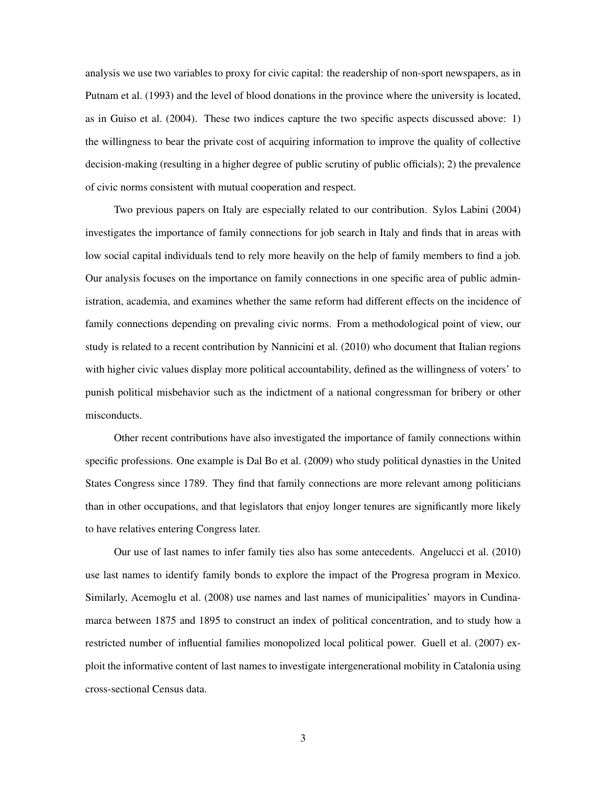analysis we use two variables to proxy for civic capital: the readership of non-sport newspapers, as in Putnam et al. (1993) and the level of blood donations in the province where the university is located, as in Guiso et al. (2004). These two indices capture the two specific aspects discussed above: 1) the willingness to bear the private cost of acquiring information to improve the quality of collective decision-making (resulting in a higher degree of public scrutiny of public officials); 2) the prevalence of civic norms consistent with mutual cooperation and respect.

Two previous papers on Italy are especially related to our contribution. Sylos Labini (2004) investigates the importance of family connections for job search in Italy and finds that in areas with low social capital individuals tend to rely more heavily on the help of family members to find a job. Our analysis focuses on the importance on family connections in one specific area of public administration, academia, and examines whether the same reform had different effects on the incidence of family connections depending on prevaling civic norms. From a methodological point of view, our study is related to a recent contribution by Nannicini et al. (2010) who document that Italian regions with higher civic values display more political accountability, defined as the willingness of voters' to punish political misbehavior such as the indictment of a national congressman for bribery or other misconducts.

Other recent contributions have also investigated the importance of family connections within specific professions. One example is Dal Bo et al. (2009) who study political dynasties in the United States Congress since 1789. They find that family connections are more relevant among politicians than in other occupations, and that legislators that enjoy longer tenures are significantly more likely to have relatives entering Congress later.

Our use of last names to infer family ties also has some antecedents. Angelucci et al. (2010) use last names to identify family bonds to explore the impact of the Progresa program in Mexico. Similarly, Acemoglu et al. (2008) use names and last names of municipalities' mayors in Cundinamarca between 1875 and 1895 to construct an index of political concentration, and to study how a restricted number of influential families monopolized local political power. Guell et al. (2007) exploit the informative content of last names to investigate intergenerational mobility in Catalonia using cross-sectional Census data.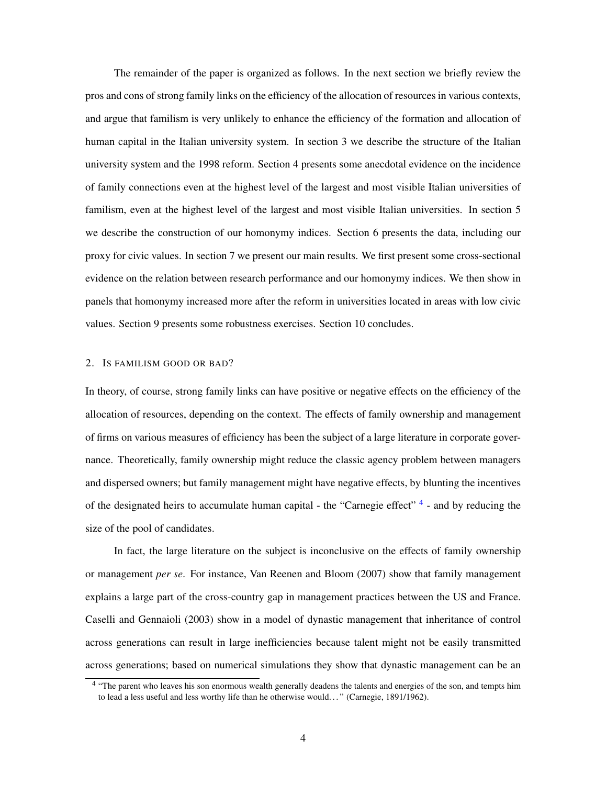The remainder of the paper is organized as follows. In the next section we briefly review the pros and cons of strong family links on the efficiency of the allocation of resources in various contexts, and argue that familism is very unlikely to enhance the efficiency of the formation and allocation of human capital in the Italian university system. In section 3 we describe the structure of the Italian university system and the 1998 reform. Section 4 presents some anecdotal evidence on the incidence of family connections even at the highest level of the largest and most visible Italian universities of familism, even at the highest level of the largest and most visible Italian universities. In section 5 we describe the construction of our homonymy indices. Section 6 presents the data, including our proxy for civic values. In section 7 we present our main results. We first present some cross-sectional evidence on the relation between research performance and our homonymy indices. We then show in panels that homonymy increased more after the reform in universities located in areas with low civic values. Section 9 presents some robustness exercises. Section 10 concludes.

#### 2. IS FAMILISM GOOD OR BAD?

In theory, of course, strong family links can have positive or negative effects on the efficiency of the allocation of resources, depending on the context. The effects of family ownership and management of firms on various measures of efficiency has been the subject of a large literature in corporate governance. Theoretically, family ownership might reduce the classic agency problem between managers and dispersed owners; but family management might have negative effects, by blunting the incentives of the designated heirs to accumulate human capital - the "Carnegie effect"<sup>4</sup> - and by reducing the size of the pool of candidates.

In fact, the large literature on the subject is inconclusive on the effects of family ownership or management *per se*. For instance, Van Reenen and Bloom (2007) show that family management explains a large part of the cross-country gap in management practices between the US and France. Caselli and Gennaioli (2003) show in a model of dynastic management that inheritance of control across generations can result in large inefficiencies because talent might not be easily transmitted across generations; based on numerical simulations they show that dynastic management can be an

<sup>&</sup>lt;sup>4</sup> "The parent who leaves his son enormous wealth generally deadens the talents and energies of the son, and tempts him to lead a less useful and less worthy life than he otherwise would. . . " (Carnegie, 1891/1962).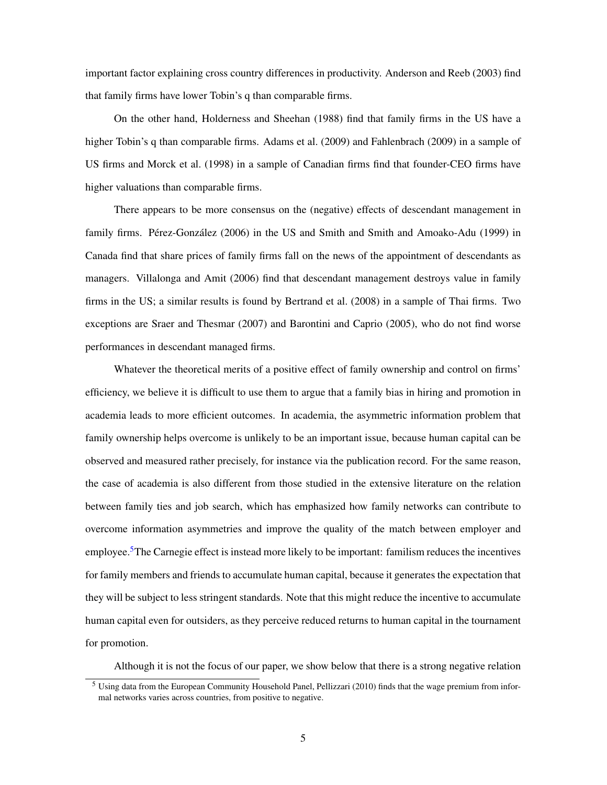important factor explaining cross country differences in productivity. Anderson and Reeb (2003) find that family firms have lower Tobin's q than comparable firms.

On the other hand, Holderness and Sheehan (1988) find that family firms in the US have a higher Tobin's q than comparable firms. Adams et al. (2009) and Fahlenbrach (2009) in a sample of US firms and Morck et al. (1998) in a sample of Canadian firms find that founder-CEO firms have higher valuations than comparable firms.

There appears to be more consensus on the (negative) effects of descendant management in family firms. Pérez-González (2006) in the US and Smith and Smith and Amoako-Adu (1999) in Canada find that share prices of family firms fall on the news of the appointment of descendants as managers. Villalonga and Amit (2006) find that descendant management destroys value in family firms in the US; a similar results is found by Bertrand et al. (2008) in a sample of Thai firms. Two exceptions are Sraer and Thesmar (2007) and Barontini and Caprio (2005), who do not find worse performances in descendant managed firms.

Whatever the theoretical merits of a positive effect of family ownership and control on firms' efficiency, we believe it is difficult to use them to argue that a family bias in hiring and promotion in academia leads to more efficient outcomes. In academia, the asymmetric information problem that family ownership helps overcome is unlikely to be an important issue, because human capital can be observed and measured rather precisely, for instance via the publication record. For the same reason, the case of academia is also different from those studied in the extensive literature on the relation between family ties and job search, which has emphasized how family networks can contribute to overcome information asymmetries and improve the quality of the match between employer and employee.<sup>5</sup>The Carnegie effect is instead more likely to be important: familism reduces the incentives for family members and friends to accumulate human capital, because it generates the expectation that they will be subject to less stringent standards. Note that this might reduce the incentive to accumulate human capital even for outsiders, as they perceive reduced returns to human capital in the tournament for promotion.

Although it is not the focus of our paper, we show below that there is a strong negative relation

<sup>5</sup> Using data from the European Community Household Panel, Pellizzari (2010) finds that the wage premium from informal networks varies across countries, from positive to negative.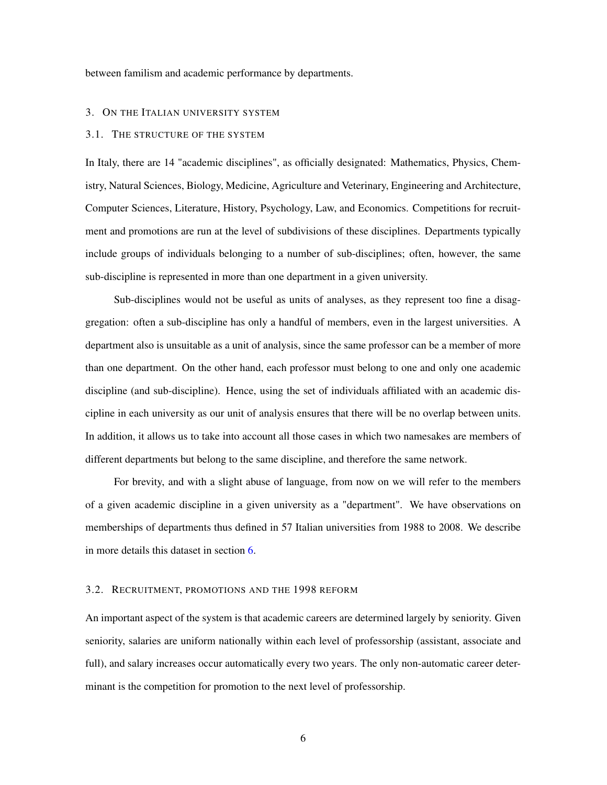between familism and academic performance by departments.

#### 3. ON THE ITALIAN UNIVERSITY SYSTEM

## 3.1. THE STRUCTURE OF THE SYSTEM

In Italy, there are 14 "academic disciplines", as officially designated: Mathematics, Physics, Chemistry, Natural Sciences, Biology, Medicine, Agriculture and Veterinary, Engineering and Architecture, Computer Sciences, Literature, History, Psychology, Law, and Economics. Competitions for recruitment and promotions are run at the level of subdivisions of these disciplines. Departments typically include groups of individuals belonging to a number of sub-disciplines; often, however, the same sub-discipline is represented in more than one department in a given university.

Sub-disciplines would not be useful as units of analyses, as they represent too fine a disaggregation: often a sub-discipline has only a handful of members, even in the largest universities. A department also is unsuitable as a unit of analysis, since the same professor can be a member of more than one department. On the other hand, each professor must belong to one and only one academic discipline (and sub-discipline). Hence, using the set of individuals affiliated with an academic discipline in each university as our unit of analysis ensures that there will be no overlap between units. In addition, it allows us to take into account all those cases in which two namesakes are members of different departments but belong to the same discipline, and therefore the same network.

For brevity, and with a slight abuse of language, from now on we will refer to the members of a given academic discipline in a given university as a "department". We have observations on memberships of departments thus defined in 57 Italian universities from 1988 to 2008. We describe in more details this dataset in section 6.

### 3.2. RECRUITMENT, PROMOTIONS AND THE 1998 REFORM

An important aspect of the system is that academic careers are determined largely by seniority. Given seniority, salaries are uniform nationally within each level of professorship (assistant, associate and full), and salary increases occur automatically every two years. The only non-automatic career determinant is the competition for promotion to the next level of professorship.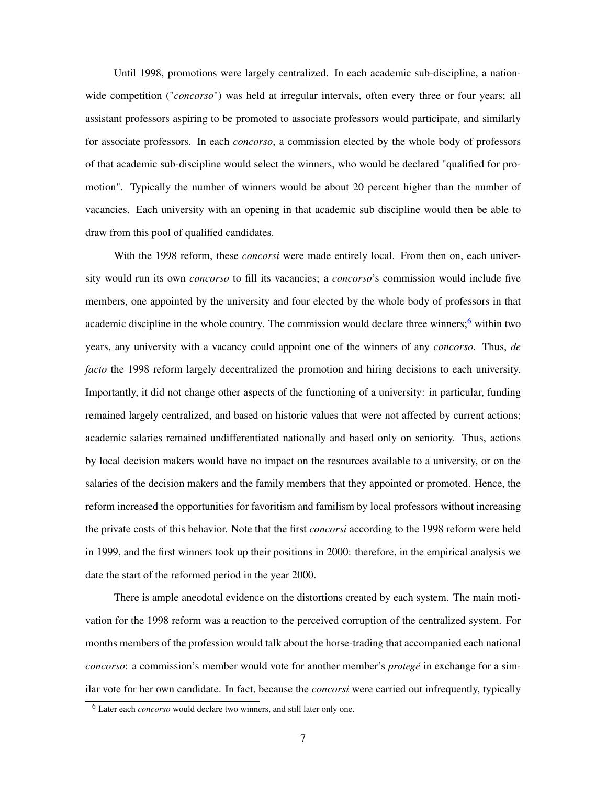Until 1998, promotions were largely centralized. In each academic sub-discipline, a nationwide competition ("*concorso*") was held at irregular intervals, often every three or four years; all assistant professors aspiring to be promoted to associate professors would participate, and similarly for associate professors. In each *concorso*, a commission elected by the whole body of professors of that academic sub-discipline would select the winners, who would be declared "qualified for promotion". Typically the number of winners would be about 20 percent higher than the number of vacancies. Each university with an opening in that academic sub discipline would then be able to draw from this pool of qualified candidates.

With the 1998 reform, these *concorsi* were made entirely local. From then on, each university would run its own *concorso* to fill its vacancies; a *concorso*'s commission would include five members, one appointed by the university and four elected by the whole body of professors in that academic discipline in the whole country. The commission would declare three winners;<sup>6</sup> within two years, any university with a vacancy could appoint one of the winners of any *concorso*. Thus, *de facto* the 1998 reform largely decentralized the promotion and hiring decisions to each university. Importantly, it did not change other aspects of the functioning of a university: in particular, funding remained largely centralized, and based on historic values that were not affected by current actions; academic salaries remained undifferentiated nationally and based only on seniority. Thus, actions by local decision makers would have no impact on the resources available to a university, or on the salaries of the decision makers and the family members that they appointed or promoted. Hence, the reform increased the opportunities for favoritism and familism by local professors without increasing the private costs of this behavior. Note that the first *concorsi* according to the 1998 reform were held in 1999, and the first winners took up their positions in 2000: therefore, in the empirical analysis we date the start of the reformed period in the year 2000.

There is ample anecdotal evidence on the distortions created by each system. The main motivation for the 1998 reform was a reaction to the perceived corruption of the centralized system. For months members of the profession would talk about the horse-trading that accompanied each national *concorso*: a commission's member would vote for another member's *protegé* in exchange for a similar vote for her own candidate. In fact, because the *concorsi* were carried out infrequently, typically

<sup>6</sup> Later each *concorso* would declare two winners, and still later only one.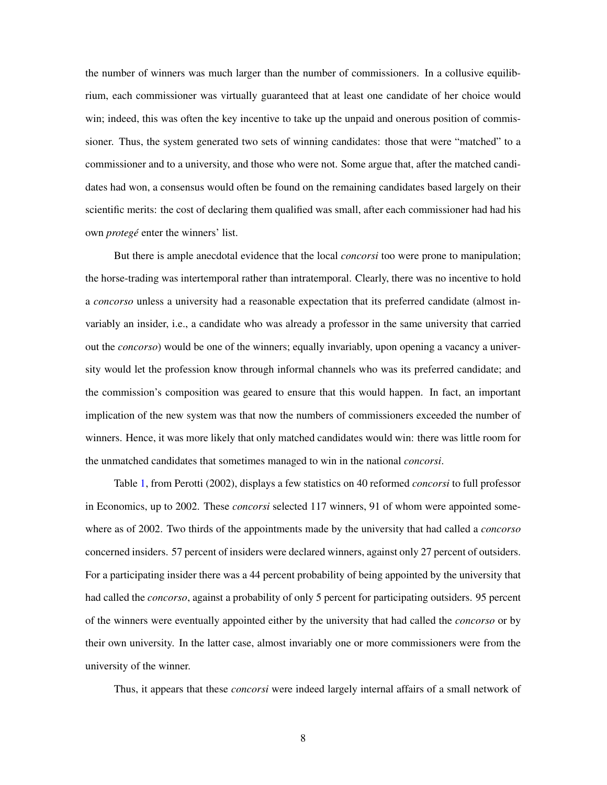the number of winners was much larger than the number of commissioners. In a collusive equilibrium, each commissioner was virtually guaranteed that at least one candidate of her choice would win; indeed, this was often the key incentive to take up the unpaid and onerous position of commissioner. Thus, the system generated two sets of winning candidates: those that were "matched" to a commissioner and to a university, and those who were not. Some argue that, after the matched candidates had won, a consensus would often be found on the remaining candidates based largely on their scientific merits: the cost of declaring them qualified was small, after each commissioner had had his own *protegé* enter the winners' list.

But there is ample anecdotal evidence that the local *concorsi* too were prone to manipulation; the horse-trading was intertemporal rather than intratemporal. Clearly, there was no incentive to hold a *concorso* unless a university had a reasonable expectation that its preferred candidate (almost invariably an insider, i.e., a candidate who was already a professor in the same university that carried out the *concorso*) would be one of the winners; equally invariably, upon opening a vacancy a university would let the profession know through informal channels who was its preferred candidate; and the commission's composition was geared to ensure that this would happen. In fact, an important implication of the new system was that now the numbers of commissioners exceeded the number of winners. Hence, it was more likely that only matched candidates would win: there was little room for the unmatched candidates that sometimes managed to win in the national *concorsi*.

Table 1, from Perotti (2002), displays a few statistics on 40 reformed *concorsi* to full professor in Economics, up to 2002. These *concorsi* selected 117 winners, 91 of whom were appointed somewhere as of 2002. Two thirds of the appointments made by the university that had called a *concorso* concerned insiders. 57 percent of insiders were declared winners, against only 27 percent of outsiders. For a participating insider there was a 44 percent probability of being appointed by the university that had called the *concorso*, against a probability of only 5 percent for participating outsiders. 95 percent of the winners were eventually appointed either by the university that had called the *concorso* or by their own university. In the latter case, almost invariably one or more commissioners were from the university of the winner.

Thus, it appears that these *concorsi* were indeed largely internal affairs of a small network of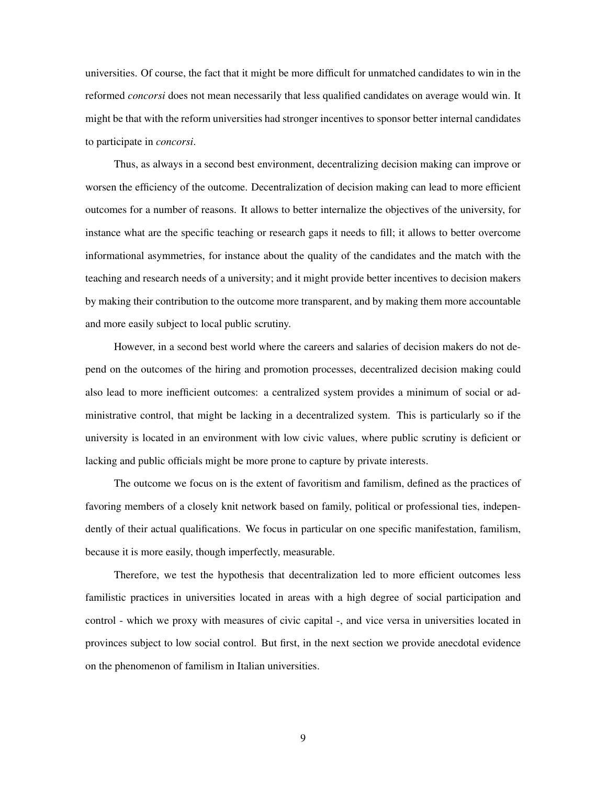universities. Of course, the fact that it might be more difficult for unmatched candidates to win in the reformed *concorsi* does not mean necessarily that less qualified candidates on average would win. It might be that with the reform universities had stronger incentives to sponsor better internal candidates to participate in *concorsi*.

Thus, as always in a second best environment, decentralizing decision making can improve or worsen the efficiency of the outcome. Decentralization of decision making can lead to more efficient outcomes for a number of reasons. It allows to better internalize the objectives of the university, for instance what are the specific teaching or research gaps it needs to fill; it allows to better overcome informational asymmetries, for instance about the quality of the candidates and the match with the teaching and research needs of a university; and it might provide better incentives to decision makers by making their contribution to the outcome more transparent, and by making them more accountable and more easily subject to local public scrutiny.

However, in a second best world where the careers and salaries of decision makers do not depend on the outcomes of the hiring and promotion processes, decentralized decision making could also lead to more inefficient outcomes: a centralized system provides a minimum of social or administrative control, that might be lacking in a decentralized system. This is particularly so if the university is located in an environment with low civic values, where public scrutiny is deficient or lacking and public officials might be more prone to capture by private interests.

The outcome we focus on is the extent of favoritism and familism, defined as the practices of favoring members of a closely knit network based on family, political or professional ties, independently of their actual qualifications. We focus in particular on one specific manifestation, familism, because it is more easily, though imperfectly, measurable.

Therefore, we test the hypothesis that decentralization led to more efficient outcomes less familistic practices in universities located in areas with a high degree of social participation and control - which we proxy with measures of civic capital -, and vice versa in universities located in provinces subject to low social control. But first, in the next section we provide anecdotal evidence on the phenomenon of familism in Italian universities.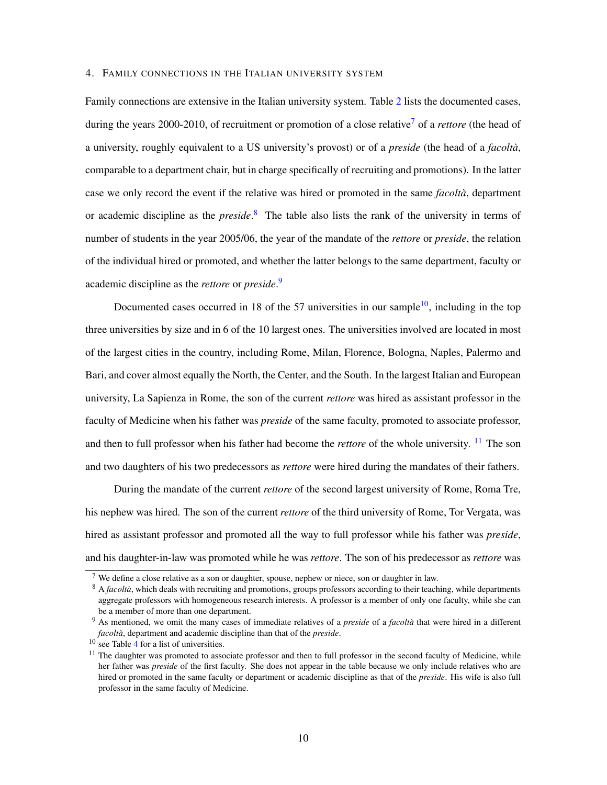#### 4. FAMILY CONNECTIONS IN THE ITALIAN UNIVERSITY SYSTEM

Family connections are extensive in the Italian university system. Table 2 lists the documented cases, during the years 2000-2010, of recruitment or promotion of a close relative7 of a *rettore* (the head of a university, roughly equivalent to a US university's provost) or of a *preside* (the head of a *facoltà*, comparable to a department chair, but in charge specifically of recruiting and promotions). In the latter case we only record the event if the relative was hired or promoted in the same *facoltà*, department or academic discipline as the *preside*. 8 The table also lists the rank of the university in terms of number of students in the year 2005/06, the year of the mandate of the *rettore* or *preside*, the relation of the individual hired or promoted, and whether the latter belongs to the same department, faculty or academic discipline as the *rettore* or *preside*. 9

Documented cases occurred in 18 of the 57 universities in our sample<sup>10</sup>, including in the top three universities by size and in 6 of the 10 largest ones. The universities involved are located in most of the largest cities in the country, including Rome, Milan, Florence, Bologna, Naples, Palermo and Bari, and cover almost equally the North, the Center, and the South. In the largest Italian and European university, La Sapienza in Rome, the son of the current *rettore* was hired as assistant professor in the faculty of Medicine when his father was *preside* of the same faculty, promoted to associate professor, and then to full professor when his father had become the *rettore* of the whole university. <sup>11</sup> The son and two daughters of his two predecessors as *rettore* were hired during the mandates of their fathers.

During the mandate of the current *rettore* of the second largest university of Rome, Roma Tre, his nephew was hired. The son of the current *rettore* of the third university of Rome, Tor Vergata, was hired as assistant professor and promoted all the way to full professor while his father was *preside*, and his daughter-in-law was promoted while he was *rettore*. The son of his predecessor as *rettore* was

<sup>7</sup> We define a close relative as a son or daughter, spouse, nephew or niece, son or daughter in law.

<sup>&</sup>lt;sup>8</sup> A *facoltà*, which deals with recruiting and promotions, groups professors according to their teaching, while departments aggregate professors with homogeneous research interests. A professor is a member of only one faculty, while she can be a member of more than one department.

<sup>9</sup> As mentioned, we omit the many cases of immediate relatives of a *preside* of a *facoltà* that were hired in a different *facoltà*, department and academic discipline than that of the *preside*.

<sup>10</sup> see Table 4 for a list of universities.

 $11$  The daughter was promoted to associate professor and then to full professor in the second faculty of Medicine, while her father was *preside* of the first faculty. She does not appear in the table because we only include relatives who are hired or promoted in the same faculty or department or academic discipline as that of the *preside*. His wife is also full professor in the same faculty of Medicine.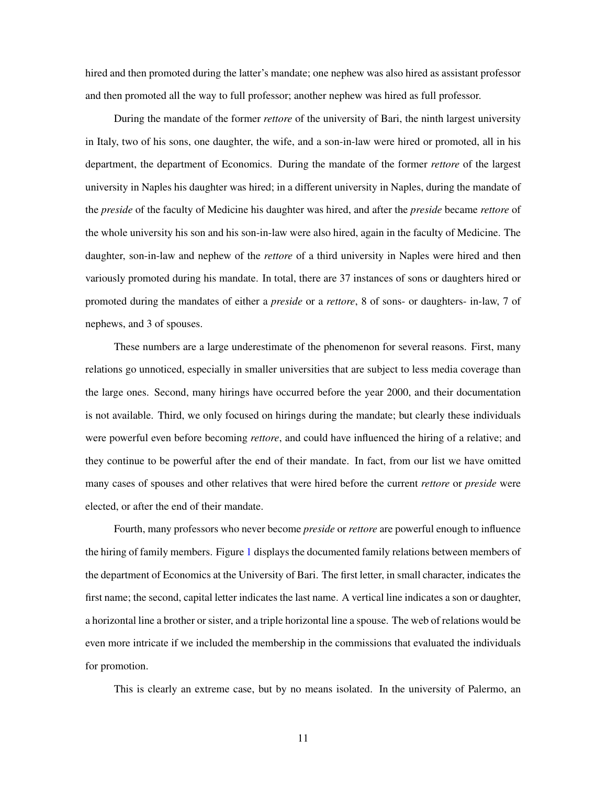hired and then promoted during the latter's mandate; one nephew was also hired as assistant professor and then promoted all the way to full professor; another nephew was hired as full professor.

During the mandate of the former *rettore* of the university of Bari, the ninth largest university in Italy, two of his sons, one daughter, the wife, and a son-in-law were hired or promoted, all in his department, the department of Economics. During the mandate of the former *rettore* of the largest university in Naples his daughter was hired; in a different university in Naples, during the mandate of the *preside* of the faculty of Medicine his daughter was hired, and after the *preside* became *rettore* of the whole university his son and his son-in-law were also hired, again in the faculty of Medicine. The daughter, son-in-law and nephew of the *rettore* of a third university in Naples were hired and then variously promoted during his mandate. In total, there are 37 instances of sons or daughters hired or promoted during the mandates of either a *preside* or a *rettore*, 8 of sons- or daughters- in-law, 7 of nephews, and 3 of spouses.

These numbers are a large underestimate of the phenomenon for several reasons. First, many relations go unnoticed, especially in smaller universities that are subject to less media coverage than the large ones. Second, many hirings have occurred before the year 2000, and their documentation is not available. Third, we only focused on hirings during the mandate; but clearly these individuals were powerful even before becoming *rettore*, and could have influenced the hiring of a relative; and they continue to be powerful after the end of their mandate. In fact, from our list we have omitted many cases of spouses and other relatives that were hired before the current *rettore* or *preside* were elected, or after the end of their mandate.

Fourth, many professors who never become *preside* or *rettore* are powerful enough to influence the hiring of family members. Figure 1 displays the documented family relations between members of the department of Economics at the University of Bari. The first letter, in small character, indicates the first name; the second, capital letter indicates the last name. A vertical line indicates a son or daughter, a horizontal line a brother or sister, and a triple horizontal line a spouse. The web of relations would be even more intricate if we included the membership in the commissions that evaluated the individuals for promotion.

This is clearly an extreme case, but by no means isolated. In the university of Palermo, an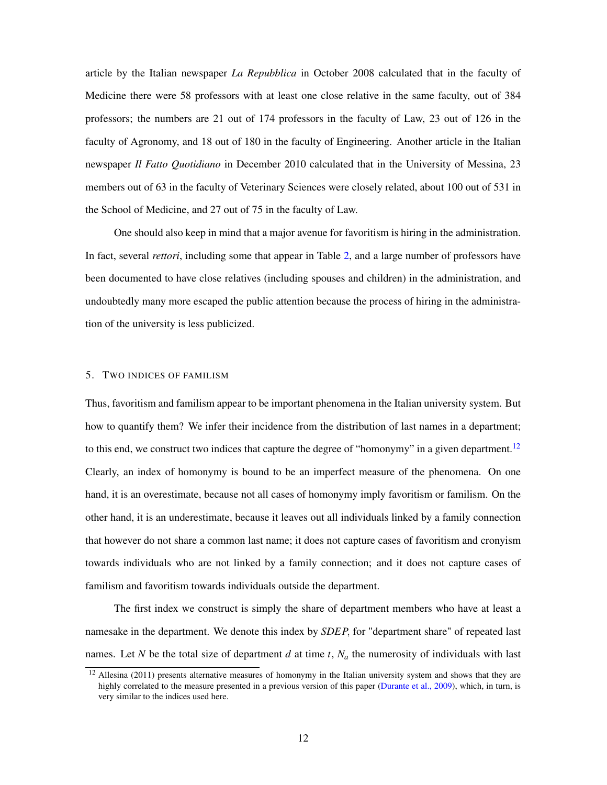article by the Italian newspaper *La Repubblica* in October 2008 calculated that in the faculty of Medicine there were 58 professors with at least one close relative in the same faculty, out of 384 professors; the numbers are 21 out of 174 professors in the faculty of Law, 23 out of 126 in the faculty of Agronomy, and 18 out of 180 in the faculty of Engineering. Another article in the Italian newspaper *Il Fatto Quotidiano* in December 2010 calculated that in the University of Messina, 23 members out of 63 in the faculty of Veterinary Sciences were closely related, about 100 out of 531 in the School of Medicine, and 27 out of 75 in the faculty of Law.

One should also keep in mind that a major avenue for favoritism is hiring in the administration. In fact, several *rettori*, including some that appear in Table 2, and a large number of professors have been documented to have close relatives (including spouses and children) in the administration, and undoubtedly many more escaped the public attention because the process of hiring in the administration of the university is less publicized.

#### 5. TWO INDICES OF FAMILISM

Thus, favoritism and familism appear to be important phenomena in the Italian university system. But how to quantify them? We infer their incidence from the distribution of last names in a department; to this end, we construct two indices that capture the degree of "homonymy" in a given department.<sup>12</sup> Clearly, an index of homonymy is bound to be an imperfect measure of the phenomena. On one hand, it is an overestimate, because not all cases of homonymy imply favoritism or familism. On the other hand, it is an underestimate, because it leaves out all individuals linked by a family connection that however do not share a common last name; it does not capture cases of favoritism and cronyism towards individuals who are not linked by a family connection; and it does not capture cases of familism and favoritism towards individuals outside the department.

The first index we construct is simply the share of department members who have at least a namesake in the department. We denote this index by *SDEP*, for "department share" of repeated last names. Let *N* be the total size of department *d* at time *t*,  $N_a$  the numerosity of individuals with last

 $12$  Allesina (2011) presents alternative measures of homonymy in the Italian university system and shows that they are highly correlated to the measure presented in a previous version of this paper (Durante et al., 2009), which, in turn, is very similar to the indices used here.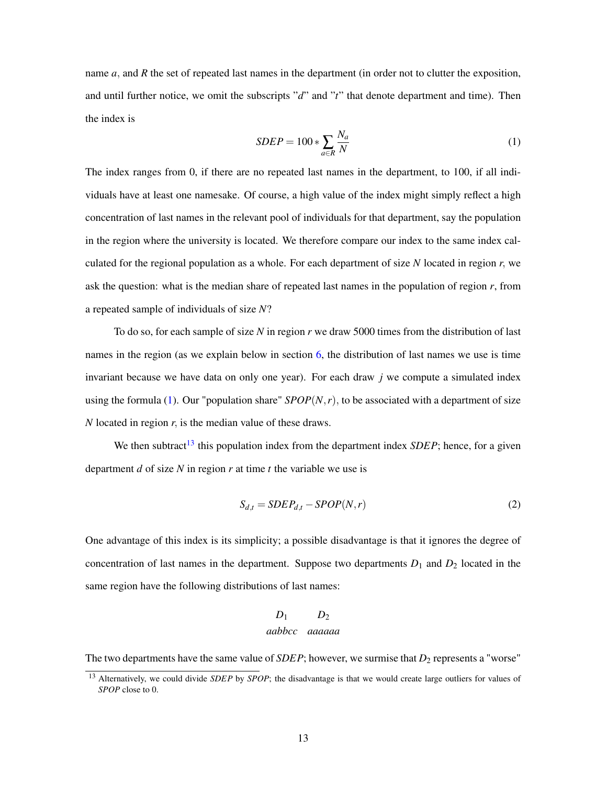name *a*, and *R* the set of repeated last names in the department (in order not to clutter the exposition, and until further notice, we omit the subscripts "*d*" and "*t*" that denote department and time). Then the index is

$$
SDEP = 100 * \sum_{a \in R} \frac{N_a}{N}
$$
 (1)

The index ranges from 0, if there are no repeated last names in the department, to 100, if all individuals have at least one namesake. Of course, a high value of the index might simply reflect a high concentration of last names in the relevant pool of individuals for that department, say the population in the region where the university is located. We therefore compare our index to the same index calculated for the regional population as a whole. For each department of size *N* located in region *r*, we ask the question: what is the median share of repeated last names in the population of region *r*, from a repeated sample of individuals of size *N*?

To do so, for each sample of size *N* in region *r* we draw 5000 times from the distribution of last names in the region (as we explain below in section  $6$ , the distribution of last names we use is time invariant because we have data on only one year). For each draw *j* we compute a simulated index using the formula (1). Our "population share"  $SPOP(N, r)$ , to be associated with a department of size *N* located in region *r*, is the median value of these draws.

We then subtract<sup>13</sup> this population index from the department index *SDEP*; hence, for a given department *d* of size *N* in region *r* at time *t* the variable we use is

$$
S_{d,t} = SDEP_{d,t} - SPOP(N,r)
$$
\n<sup>(2)</sup>

One advantage of this index is its simplicity; a possible disadvantage is that it ignores the degree of concentration of last names in the department. Suppose two departments  $D_1$  and  $D_2$  located in the same region have the following distributions of last names:

# $D_1$   $D_2$ *aabbcc aaaaaa*

The two departments have the same value of *SDEP*; however, we surmise that  $D_2$  represents a "worse"

<sup>13</sup> Alternatively, we could divide *SDEP* by *SPOP*; the disadvantage is that we would create large outliers for values of *SPOP* close to 0.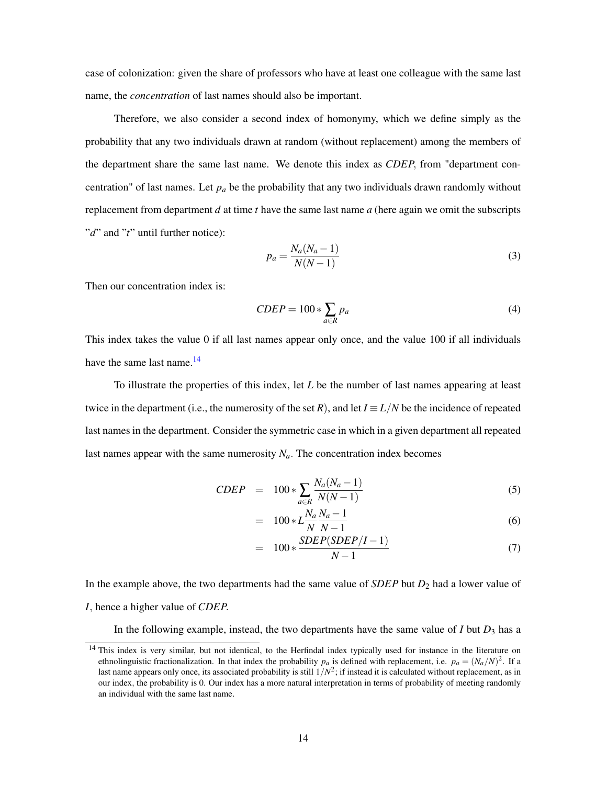case of colonization: given the share of professors who have at least one colleague with the same last name, the *concentration* of last names should also be important.

Therefore, we also consider a second index of homonymy, which we define simply as the probability that any two individuals drawn at random (without replacement) among the members of the department share the same last name. We denote this index as *CDEP*, from "department concentration" of last names. Let  $p_a$  be the probability that any two individuals drawn randomly without replacement from department *d* at time *t* have the same last name *a* (here again we omit the subscripts "*d*" and "*t*" until further notice):

$$
p_a = \frac{N_a (N_a - 1)}{N(N - 1)}\tag{3}
$$

Then our concentration index is:

$$
CDEP = 100 * \sum_{a \in R} p_a \tag{4}
$$

This index takes the value 0 if all last names appear only once, and the value 100 if all individuals have the same last name.<sup>14</sup>

To illustrate the properties of this index, let *L* be the number of last names appearing at least twice in the department (i.e., the numerosity of the set *R*), and let  $I \equiv L/N$  be the incidence of repeated last names in the department. Consider the symmetric case in which in a given department all repeated last names appear with the same numerosity  $N_a$ . The concentration index becomes

$$
CDEF = 100 * \sum_{a \in R} \frac{N_a (N_a - 1)}{N(N - 1)}
$$
(5)

$$
= 100 * L \frac{N_a N_a - 1}{N N - 1} \tag{6}
$$

$$
= 100 * \frac{SDEP(SDEP/I - 1)}{N - 1} \tag{7}
$$

In the example above, the two departments had the same value of *SDEP* but *D*<sup>2</sup> had a lower value of *I*, hence a higher value of *CDEP*.

In the following example, instead, the two departments have the same value of  $I$  but  $D_3$  has a

<sup>&</sup>lt;sup>14</sup> This index is very similar, but not identical, to the Herfindal index typically used for instance in the literature on ethnolinguistic fractionalization. In that index the probability  $p_a$  is defined with replacement, i.e.  $p_a = (N_a/N)^2$ . If a last name appears only once, its associated probability is still  $1/N^2$ ; if instead it is calculated without replacement, as in our index, the probability is 0. Our index has a more natural interpretation in terms of probability of meeting randomly an individual with the same last name.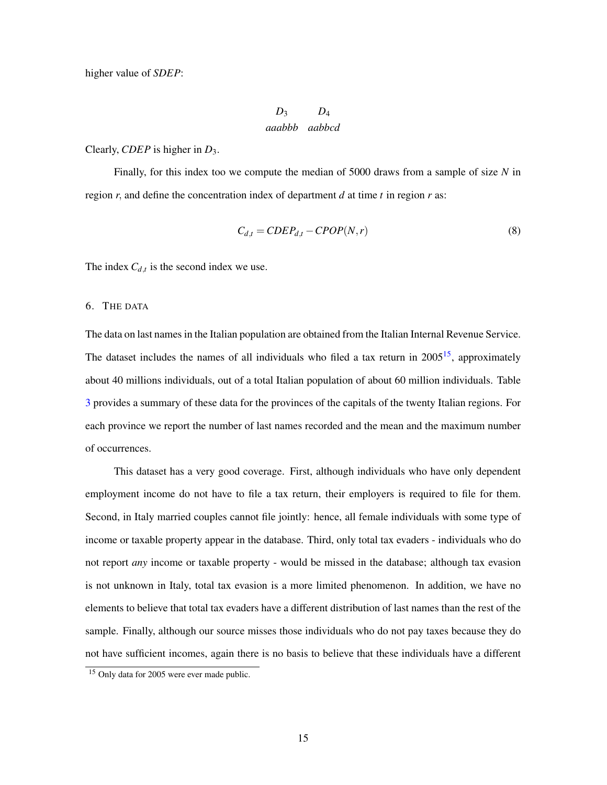higher value of *SDEP*:

$$
D_3 \qquad D_4
$$
  
*aaabbb aabbcd*

#### Clearly, *CDEP* is higher in *D*3.

Finally, for this index too we compute the median of 5000 draws from a sample of size *N* in region *r*, and define the concentration index of department *d* at time *t* in region *r* as:

$$
C_{d,t} = CDEP_{d,t} - CPOP(N,r)
$$
\n(8)

The index  $C_{d,t}$  is the second index we use.

#### 6. THE DATA

The data on last names in the Italian population are obtained from the Italian Internal Revenue Service. The dataset includes the names of all individuals who filed a tax return in  $2005^{15}$ , approximately about 40 millions individuals, out of a total Italian population of about 60 million individuals. Table 3 provides a summary of these data for the provinces of the capitals of the twenty Italian regions. For each province we report the number of last names recorded and the mean and the maximum number of occurrences.

This dataset has a very good coverage. First, although individuals who have only dependent employment income do not have to file a tax return, their employers is required to file for them. Second, in Italy married couples cannot file jointly: hence, all female individuals with some type of income or taxable property appear in the database. Third, only total tax evaders - individuals who do not report *any* income or taxable property - would be missed in the database; although tax evasion is not unknown in Italy, total tax evasion is a more limited phenomenon. In addition, we have no elements to believe that total tax evaders have a different distribution of last names than the rest of the sample. Finally, although our source misses those individuals who do not pay taxes because they do not have sufficient incomes, again there is no basis to believe that these individuals have a different

<sup>&</sup>lt;sup>15</sup> Only data for 2005 were ever made public.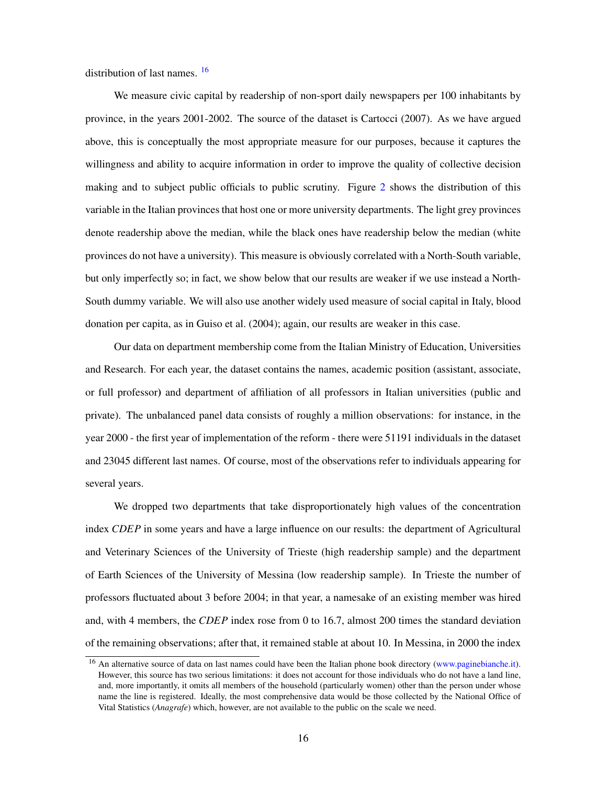distribution of last names. 16

We measure civic capital by readership of non-sport daily newspapers per 100 inhabitants by province, in the years 2001-2002. The source of the dataset is Cartocci (2007). As we have argued above, this is conceptually the most appropriate measure for our purposes, because it captures the willingness and ability to acquire information in order to improve the quality of collective decision making and to subject public officials to public scrutiny. Figure 2 shows the distribution of this variable in the Italian provinces that host one or more university departments. The light grey provinces denote readership above the median, while the black ones have readership below the median (white provinces do not have a university). This measure is obviously correlated with a North-South variable, but only imperfectly so; in fact, we show below that our results are weaker if we use instead a North-South dummy variable. We will also use another widely used measure of social capital in Italy, blood donation per capita, as in Guiso et al. (2004); again, our results are weaker in this case.

Our data on department membership come from the Italian Ministry of Education, Universities and Research. For each year, the dataset contains the names, academic position (assistant, associate, or full professor) and department of affiliation of all professors in Italian universities (public and private). The unbalanced panel data consists of roughly a million observations: for instance, in the year 2000 - the first year of implementation of the reform - there were 51191 individuals in the dataset and 23045 different last names. Of course, most of the observations refer to individuals appearing for several years.

We dropped two departments that take disproportionately high values of the concentration index *CDEP* in some years and have a large influence on our results: the department of Agricultural and Veterinary Sciences of the University of Trieste (high readership sample) and the department of Earth Sciences of the University of Messina (low readership sample). In Trieste the number of professors fluctuated about 3 before 2004; in that year, a namesake of an existing member was hired and, with 4 members, the *CDEP* index rose from 0 to 16.7, almost 200 times the standard deviation of the remaining observations; after that, it remained stable at about 10. In Messina, in 2000 the index

<sup>&</sup>lt;sup>16</sup> An alternative source of data on last names could have been the Italian phone book directory (www.paginebianche.it). However, this source has two serious limitations: it does not account for those individuals who do not have a land line, and, more importantly, it omits all members of the household (particularly women) other than the person under whose name the line is registered. Ideally, the most comprehensive data would be those collected by the National Office of Vital Statistics (*Anagrafe*) which, however, are not available to the public on the scale we need.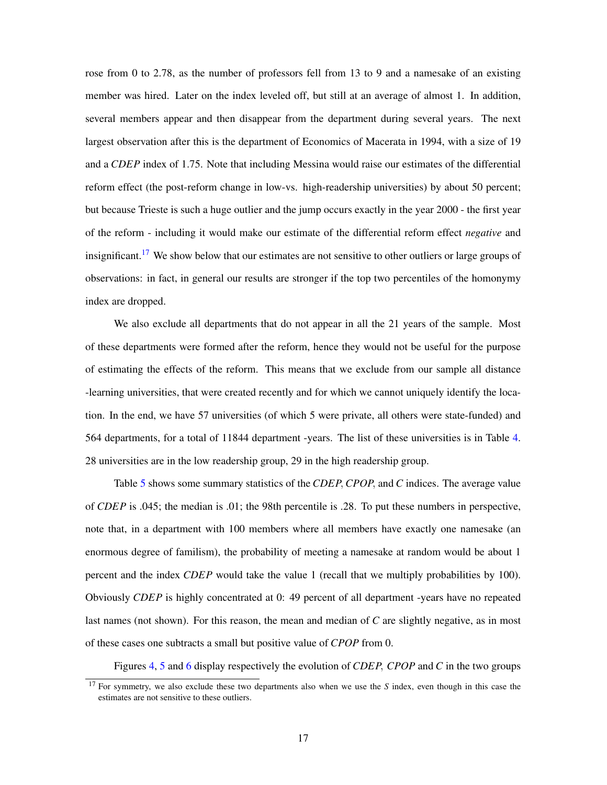rose from 0 to 2.78, as the number of professors fell from 13 to 9 and a namesake of an existing member was hired. Later on the index leveled off, but still at an average of almost 1. In addition, several members appear and then disappear from the department during several years. The next largest observation after this is the department of Economics of Macerata in 1994, with a size of 19 and a *CDEP* index of 1.75. Note that including Messina would raise our estimates of the differential reform effect (the post-reform change in low-vs. high-readership universities) by about 50 percent; but because Trieste is such a huge outlier and the jump occurs exactly in the year 2000 - the first year of the reform - including it would make our estimate of the differential reform effect *negative* and insignificant.<sup>17</sup> We show below that our estimates are not sensitive to other outliers or large groups of observations: in fact, in general our results are stronger if the top two percentiles of the homonymy index are dropped.

We also exclude all departments that do not appear in all the 21 years of the sample. Most of these departments were formed after the reform, hence they would not be useful for the purpose of estimating the effects of the reform. This means that we exclude from our sample all distance -learning universities, that were created recently and for which we cannot uniquely identify the location. In the end, we have 57 universities (of which 5 were private, all others were state-funded) and 564 departments, for a total of 11844 department -years. The list of these universities is in Table 4. 28 universities are in the low readership group, 29 in the high readership group.

Table 5 shows some summary statistics of the *CDEP*, *CPOP*, and *C* indices. The average value of *CDEP* is .045; the median is .01; the 98th percentile is .28. To put these numbers in perspective, note that, in a department with 100 members where all members have exactly one namesake (an enormous degree of familism), the probability of meeting a namesake at random would be about 1 percent and the index *CDEP* would take the value 1 (recall that we multiply probabilities by 100). Obviously *CDEP* is highly concentrated at 0: 49 percent of all department -years have no repeated last names (not shown). For this reason, the mean and median of *C* are slightly negative, as in most of these cases one subtracts a small but positive value of *CPOP* from 0.

Figures 4, 5 and 6 display respectively the evolution of *CDEP*, *CPOP* and *C* in the two groups

<sup>17</sup> For symmetry, we also exclude these two departments also when we use the *S* index, even though in this case the estimates are not sensitive to these outliers.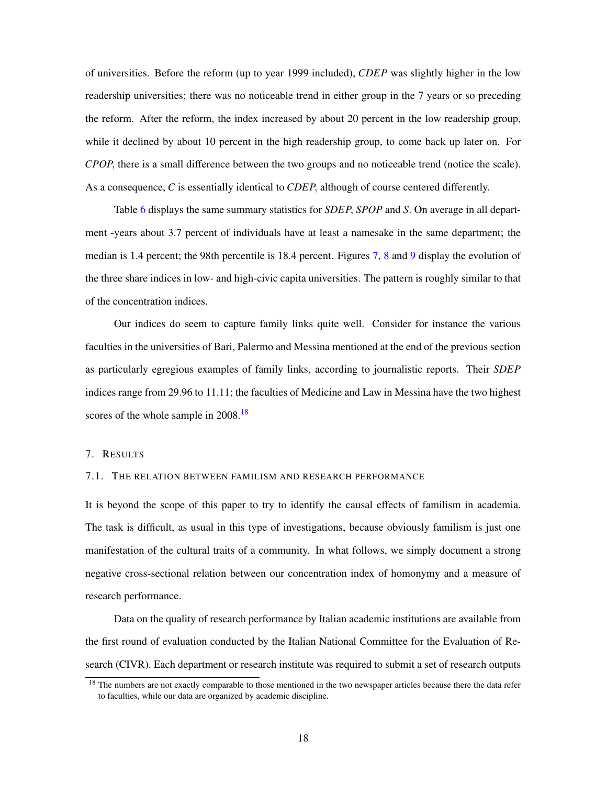of universities. Before the reform (up to year 1999 included), *CDEP* was slightly higher in the low readership universities; there was no noticeable trend in either group in the 7 years or so preceding the reform. After the reform, the index increased by about 20 percent in the low readership group, while it declined by about 10 percent in the high readership group, to come back up later on. For *CPOP*, there is a small difference between the two groups and no noticeable trend (notice the scale). As a consequence, *C* is essentially identical to *CDEP*, although of course centered differently.

Table 6 displays the same summary statistics for *SDEP*, *SPOP* and *S*. On average in all department -years about 3.7 percent of individuals have at least a namesake in the same department; the median is 1.4 percent; the 98th percentile is 18.4 percent. Figures 7, 8 and 9 display the evolution of the three share indices in low- and high-civic capita universities. The pattern is roughly similar to that of the concentration indices.

Our indices do seem to capture family links quite well. Consider for instance the various faculties in the universities of Bari, Palermo and Messina mentioned at the end of the previous section as particularly egregious examples of family links, according to journalistic reports. Their *SDEP* indices range from 29.96 to 11.11; the faculties of Medicine and Law in Messina have the two highest scores of the whole sample in 2008.<sup>18</sup>

#### 7. RESULTS

#### 7.1. THE RELATION BETWEEN FAMILISM AND RESEARCH PERFORMANCE

It is beyond the scope of this paper to try to identify the causal effects of familism in academia. The task is difficult, as usual in this type of investigations, because obviously familism is just one manifestation of the cultural traits of a community. In what follows, we simply document a strong negative cross-sectional relation between our concentration index of homonymy and a measure of research performance.

Data on the quality of research performance by Italian academic institutions are available from the first round of evaluation conducted by the Italian National Committee for the Evaluation of Research (CIVR). Each department or research institute was required to submit a set of research outputs

<sup>&</sup>lt;sup>18</sup> The numbers are not exactly comparable to those mentioned in the two newspaper articles because there the data refer to faculties, while our data are organized by academic discipline.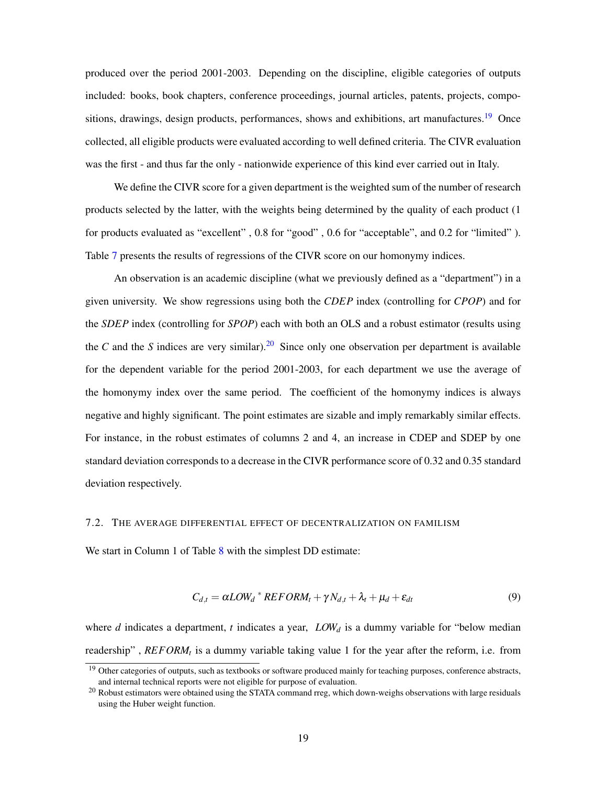produced over the period 2001-2003. Depending on the discipline, eligible categories of outputs included: books, book chapters, conference proceedings, journal articles, patents, projects, compositions, drawings, design products, performances, shows and exhibitions, art manufactures.<sup>19</sup> Once collected, all eligible products were evaluated according to well defined criteria. The CIVR evaluation was the first - and thus far the only - nationwide experience of this kind ever carried out in Italy.

We define the CIVR score for a given department is the weighted sum of the number of research products selected by the latter, with the weights being determined by the quality of each product (1 for products evaluated as "excellent" , 0.8 for "good" , 0.6 for "acceptable", and 0.2 for "limited" ). Table 7 presents the results of regressions of the CIVR score on our homonymy indices.

An observation is an academic discipline (what we previously defined as a "department") in a given university. We show regressions using both the *CDEP* index (controlling for *CPOP*) and for the *SDEP* index (controlling for *SPOP*) each with both an OLS and a robust estimator (results using the *C* and the *S* indices are very similar).<sup>20</sup> Since only one observation per department is available for the dependent variable for the period 2001-2003, for each department we use the average of the homonymy index over the same period. The coefficient of the homonymy indices is always negative and highly significant. The point estimates are sizable and imply remarkably similar effects. For instance, in the robust estimates of columns 2 and 4, an increase in CDEP and SDEP by one standard deviation corresponds to a decrease in the CIVR performance score of 0.32 and 0.35 standard deviation respectively.

### 7.2. THE AVERAGE DIFFERENTIAL EFFECT OF DECENTRALIZATION ON FAMILISM

We start in Column 1 of Table 8 with the simplest DD estimate:

$$
C_{d,t} = \alpha LOW_d * REFORM_t + \gamma N_{d,t} + \lambda_t + \mu_d + \varepsilon_{dt}
$$
\n(9)

where *d* indicates a department, *t* indicates a year, *LOW*<sup>*d*</sup> is a dummy variable for "below median" readership" , *REFORM<sup>t</sup>* is a dummy variable taking value 1 for the year after the reform, i.e. from

<sup>&</sup>lt;sup>19</sup> Other categories of outputs, such as textbooks or software produced mainly for teaching purposes, conference abstracts, and internal technical reports were not eligible for purpose of evaluation.

<sup>&</sup>lt;sup>20</sup> Robust estimators were obtained using the STATA command rreg, which down-weighs observations with large residuals using the Huber weight function.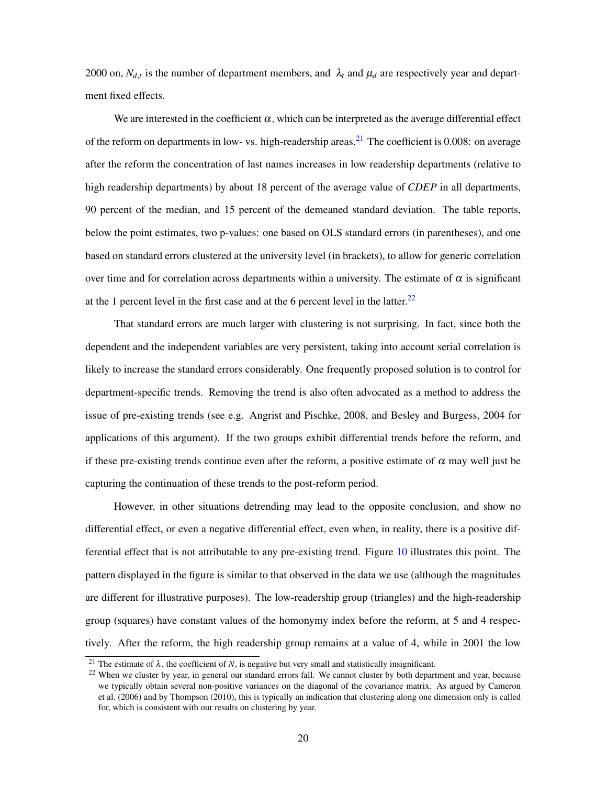2000 on,  $N_{d,t}$  is the number of department members, and  $\lambda_t$  and  $\mu_d$  are respectively year and department fixed effects.

We are interested in the coefficient  $\alpha$ , which can be interpreted as the average differential effect of the reform on departments in low- vs. high-readership areas.<sup>21</sup> The coefficient is 0.008: on average after the reform the concentration of last names increases in low readership departments (relative to high readership departments) by about 18 percent of the average value of *CDEP* in all departments, 90 percent of the median, and 15 percent of the demeaned standard deviation. The table reports, below the point estimates, two p-values: one based on OLS standard errors (in parentheses), and one based on standard errors clustered at the university level (in brackets), to allow for generic correlation over time and for correlation across departments within a university. The estimate of  $\alpha$  is significant at the 1 percent level in the first case and at the 6 percent level in the latter.<sup>22</sup>

That standard errors are much larger with clustering is not surprising. In fact, since both the dependent and the independent variables are very persistent, taking into account serial correlation is likely to increase the standard errors considerably. One frequently proposed solution is to control for department-specific trends. Removing the trend is also often advocated as a method to address the issue of pre-existing trends (see e.g. Angrist and Pischke, 2008, and Besley and Burgess, 2004 for applications of this argument). If the two groups exhibit differential trends before the reform, and if these pre-existing trends continue even after the reform, a positive estimate of  $\alpha$  may well just be capturing the continuation of these trends to the post-reform period.

However, in other situations detrending may lead to the opposite conclusion, and show no differential effect, or even a negative differential effect, even when, in reality, there is a positive differential effect that is not attributable to any pre-existing trend. Figure 10 illustrates this point. The pattern displayed in the figure is similar to that observed in the data we use (although the magnitudes are different for illustrative purposes). The low-readership group (triangles) and the high-readership group (squares) have constant values of the homonymy index before the reform, at 5 and 4 respectively. After the reform, the high readership group remains at a value of 4, while in 2001 the low

<sup>&</sup>lt;sup>21</sup> The estimate of  $\lambda$ , the coefficient of *N*, is negative but very small and statistically insignificant.

<sup>&</sup>lt;sup>22</sup> When we cluster by year, in general our standard errors fall. We cannot cluster by both department and year, because we typically obtain several non-positive variances on the diagonal of the covariance matrix. As argued by Cameron et al. (2006) and by Thompson (2010), this is typically an indication that clustering along one dimension only is called for, which is consistent with our results on clustering by year.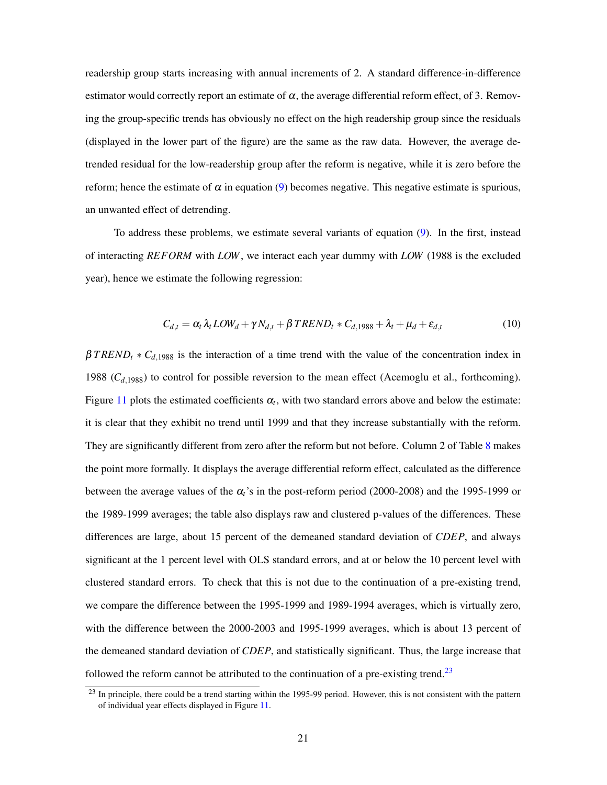readership group starts increasing with annual increments of 2. A standard difference-in-difference estimator would correctly report an estimate of  $\alpha$ , the average differential reform effect, of 3. Removing the group-specific trends has obviously no effect on the high readership group since the residuals (displayed in the lower part of the figure) are the same as the raw data. However, the average detrended residual for the low-readership group after the reform is negative, while it is zero before the reform; hence the estimate of  $\alpha$  in equation (9) becomes negative. This negative estimate is spurious, an unwanted effect of detrending.

To address these problems, we estimate several variants of equation (9). In the first, instead of interacting *REFORM* with *LOW*, we interact each year dummy with *LOW* (1988 is the excluded year), hence we estimate the following regression:

$$
C_{d,t} = \alpha_t \lambda_t LOW_d + \gamma N_{d,t} + \beta TREND_t * C_{d,1988} + \lambda_t + \mu_d + \varepsilon_{d,t}
$$
\n
$$
\tag{10}
$$

 $\beta$ *TREND<sub>t</sub>*  $\ast$  *C*<sub>d,1988</sub> is the interaction of a time trend with the value of the concentration index in 1988  $(C_{d,1988})$  to control for possible reversion to the mean effect (Acemoglu et al., forthcoming). Figure 11 plots the estimated coefficients  $\alpha_t$ , with two standard errors above and below the estimate: it is clear that they exhibit no trend until 1999 and that they increase substantially with the reform. They are significantly different from zero after the reform but not before. Column 2 of Table 8 makes the point more formally. It displays the average differential reform effect, calculated as the difference between the average values of the α*t*'s in the post-reform period (2000-2008) and the 1995-1999 or the 1989-1999 averages; the table also displays raw and clustered p-values of the differences. These differences are large, about 15 percent of the demeaned standard deviation of *CDEP*, and always significant at the 1 percent level with OLS standard errors, and at or below the 10 percent level with clustered standard errors. To check that this is not due to the continuation of a pre-existing trend, we compare the difference between the 1995-1999 and 1989-1994 averages, which is virtually zero, with the difference between the 2000-2003 and 1995-1999 averages, which is about 13 percent of the demeaned standard deviation of *CDEP*, and statistically significant. Thus, the large increase that followed the reform cannot be attributed to the continuation of a pre-existing trend.<sup>23</sup>

 $^{23}$  In principle, there could be a trend starting within the 1995-99 period. However, this is not consistent with the pattern of individual year effects displayed in Figure 11.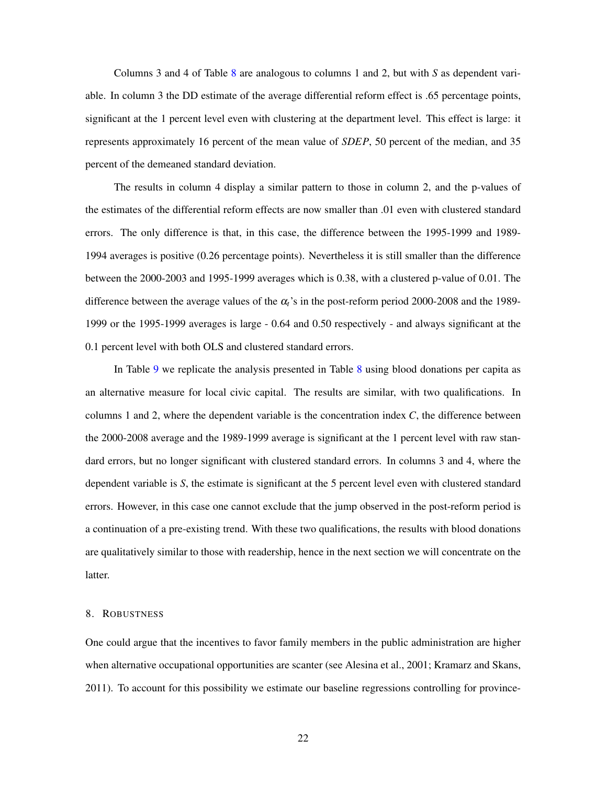Columns 3 and 4 of Table 8 are analogous to columns 1 and 2, but with *S* as dependent variable. In column 3 the DD estimate of the average differential reform effect is .65 percentage points, significant at the 1 percent level even with clustering at the department level. This effect is large: it represents approximately 16 percent of the mean value of *SDEP*, 50 percent of the median, and 35 percent of the demeaned standard deviation.

The results in column 4 display a similar pattern to those in column 2, and the p-values of the estimates of the differential reform effects are now smaller than .01 even with clustered standard errors. The only difference is that, in this case, the difference between the 1995-1999 and 1989- 1994 averages is positive (0.26 percentage points). Nevertheless it is still smaller than the difference between the 2000-2003 and 1995-1999 averages which is 0.38, with a clustered p-value of 0.01. The difference between the average values of the α*t*'s in the post-reform period 2000-2008 and the 1989- 1999 or the 1995-1999 averages is large - 0.64 and 0.50 respectively - and always significant at the 0.1 percent level with both OLS and clustered standard errors.

In Table 9 we replicate the analysis presented in Table 8 using blood donations per capita as an alternative measure for local civic capital. The results are similar, with two qualifications. In columns 1 and 2, where the dependent variable is the concentration index *C*, the difference between the 2000-2008 average and the 1989-1999 average is significant at the 1 percent level with raw standard errors, but no longer significant with clustered standard errors. In columns 3 and 4, where the dependent variable is *S*, the estimate is significant at the 5 percent level even with clustered standard errors. However, in this case one cannot exclude that the jump observed in the post-reform period is a continuation of a pre-existing trend. With these two qualifications, the results with blood donations are qualitatively similar to those with readership, hence in the next section we will concentrate on the latter.

#### 8. ROBUSTNESS

One could argue that the incentives to favor family members in the public administration are higher when alternative occupational opportunities are scanter (see Alesina et al., 2001; Kramarz and Skans, 2011). To account for this possibility we estimate our baseline regressions controlling for province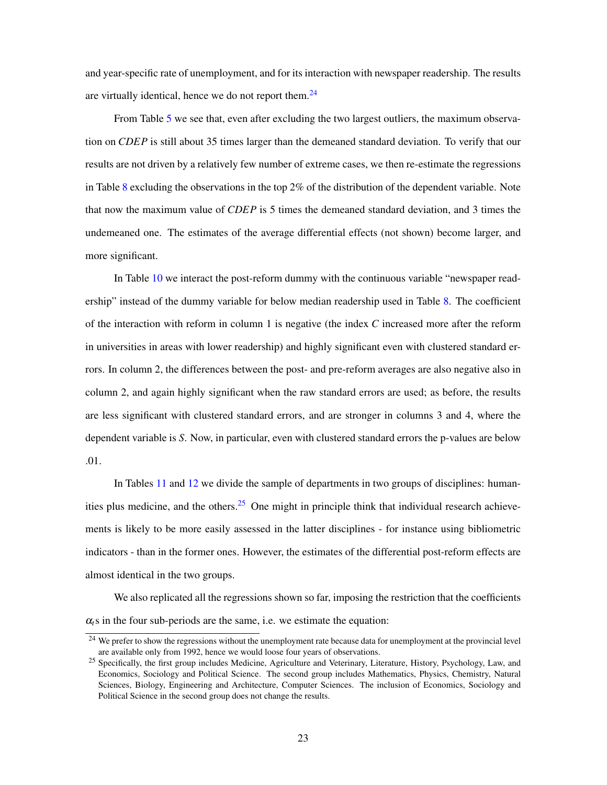and year-specific rate of unemployment, and for its interaction with newspaper readership. The results are virtually identical, hence we do not report them. $24$ 

From Table 5 we see that, even after excluding the two largest outliers, the maximum observation on *CDEP* is still about 35 times larger than the demeaned standard deviation. To verify that our results are not driven by a relatively few number of extreme cases, we then re-estimate the regressions in Table 8 excluding the observations in the top  $2\%$  of the distribution of the dependent variable. Note that now the maximum value of *CDEP* is 5 times the demeaned standard deviation, and 3 times the undemeaned one. The estimates of the average differential effects (not shown) become larger, and more significant.

In Table 10 we interact the post-reform dummy with the continuous variable "newspaper readership" instead of the dummy variable for below median readership used in Table 8. The coefficient of the interaction with reform in column 1 is negative (the index *C* increased more after the reform in universities in areas with lower readership) and highly significant even with clustered standard errors. In column 2, the differences between the post- and pre-reform averages are also negative also in column 2, and again highly significant when the raw standard errors are used; as before, the results are less significant with clustered standard errors, and are stronger in columns 3 and 4, where the dependent variable is *S*. Now, in particular, even with clustered standard errors the p-values are below .01.

In Tables 11 and 12 we divide the sample of departments in two groups of disciplines: humanities plus medicine, and the others.<sup>25</sup> One might in principle think that individual research achievements is likely to be more easily assessed in the latter disciplines - for instance using bibliometric indicators - than in the former ones. However, the estimates of the differential post-reform effects are almost identical in the two groups.

We also replicated all the regressions shown so far, imposing the restriction that the coefficients  $\alpha$ <sub>t</sub>s in the four sub-periods are the same, i.e. we estimate the equation:

<sup>&</sup>lt;sup>24</sup> We prefer to show the regressions without the unemployment rate because data for unemployment at the provincial level are available only from 1992, hence we would loose four years of observations.

<sup>&</sup>lt;sup>25</sup> Specifically, the first group includes Medicine, Agriculture and Veterinary, Literature, History, Psychology, Law, and Economics, Sociology and Political Science. The second group includes Mathematics, Physics, Chemistry, Natural Sciences, Biology, Engineering and Architecture, Computer Sciences. The inclusion of Economics, Sociology and Political Science in the second group does not change the results.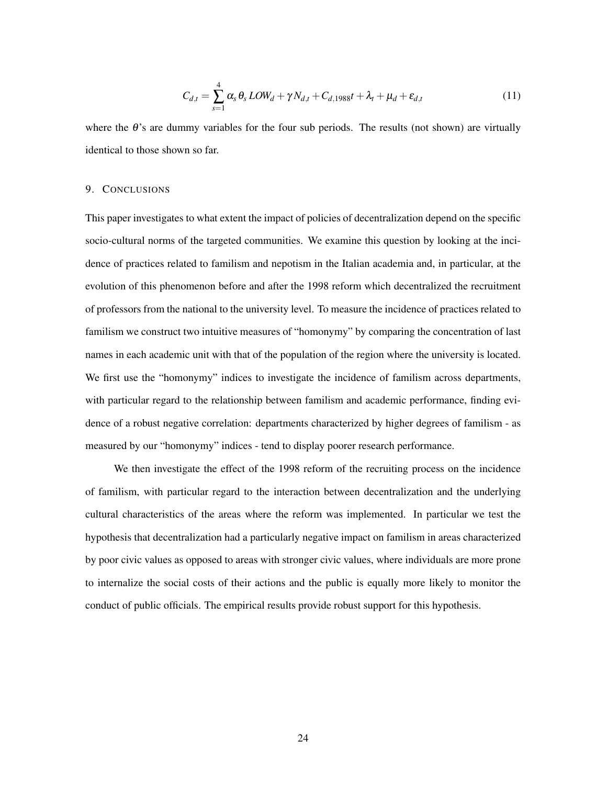$$
C_{d,t} = \sum_{s=1}^{4} \alpha_s \theta_s \text{LOW}_d + \gamma N_{d,t} + C_{d,1988}t + \lambda_t + \mu_d + \varepsilon_{d,t}
$$
\n(11)

where the θ's are dummy variables for the four sub periods. The results (not shown) are virtually identical to those shown so far.

#### 9. CONCLUSIONS

This paper investigates to what extent the impact of policies of decentralization depend on the specific socio-cultural norms of the targeted communities. We examine this question by looking at the incidence of practices related to familism and nepotism in the Italian academia and, in particular, at the evolution of this phenomenon before and after the 1998 reform which decentralized the recruitment of professors from the national to the university level. To measure the incidence of practices related to familism we construct two intuitive measures of "homonymy" by comparing the concentration of last names in each academic unit with that of the population of the region where the university is located. We first use the "homonymy" indices to investigate the incidence of familism across departments, with particular regard to the relationship between familism and academic performance, finding evidence of a robust negative correlation: departments characterized by higher degrees of familism - as measured by our "homonymy" indices - tend to display poorer research performance.

We then investigate the effect of the 1998 reform of the recruiting process on the incidence of familism, with particular regard to the interaction between decentralization and the underlying cultural characteristics of the areas where the reform was implemented. In particular we test the hypothesis that decentralization had a particularly negative impact on familism in areas characterized by poor civic values as opposed to areas with stronger civic values, where individuals are more prone to internalize the social costs of their actions and the public is equally more likely to monitor the conduct of public officials. The empirical results provide robust support for this hypothesis.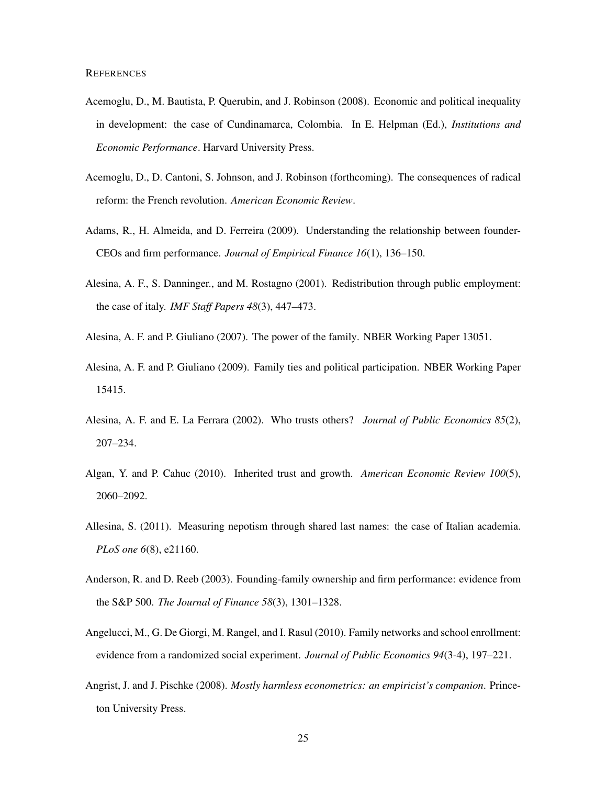- Acemoglu, D., M. Bautista, P. Querubin, and J. Robinson (2008). Economic and political inequality in development: the case of Cundinamarca, Colombia. In E. Helpman (Ed.), *Institutions and Economic Performance*. Harvard University Press.
- Acemoglu, D., D. Cantoni, S. Johnson, and J. Robinson (forthcoming). The consequences of radical reform: the French revolution. *American Economic Review*.
- Adams, R., H. Almeida, and D. Ferreira (2009). Understanding the relationship between founder-CEOs and firm performance. *Journal of Empirical Finance 16*(1), 136–150.
- Alesina, A. F., S. Danninger., and M. Rostagno (2001). Redistribution through public employment: the case of italy. *IMF Staff Papers 48*(3), 447–473.
- Alesina, A. F. and P. Giuliano (2007). The power of the family. NBER Working Paper 13051.
- Alesina, A. F. and P. Giuliano (2009). Family ties and political participation. NBER Working Paper 15415.
- Alesina, A. F. and E. La Ferrara (2002). Who trusts others? *Journal of Public Economics 85*(2), 207–234.
- Algan, Y. and P. Cahuc (2010). Inherited trust and growth. *American Economic Review 100*(5), 2060–2092.
- Allesina, S. (2011). Measuring nepotism through shared last names: the case of Italian academia. *PLoS one 6*(8), e21160.
- Anderson, R. and D. Reeb (2003). Founding-family ownership and firm performance: evidence from the S&P 500. *The Journal of Finance 58*(3), 1301–1328.
- Angelucci, M., G. De Giorgi, M. Rangel, and I. Rasul (2010). Family networks and school enrollment: evidence from a randomized social experiment. *Journal of Public Economics 94*(3-4), 197–221.
- Angrist, J. and J. Pischke (2008). *Mostly harmless econometrics: an empiricist's companion*. Princeton University Press.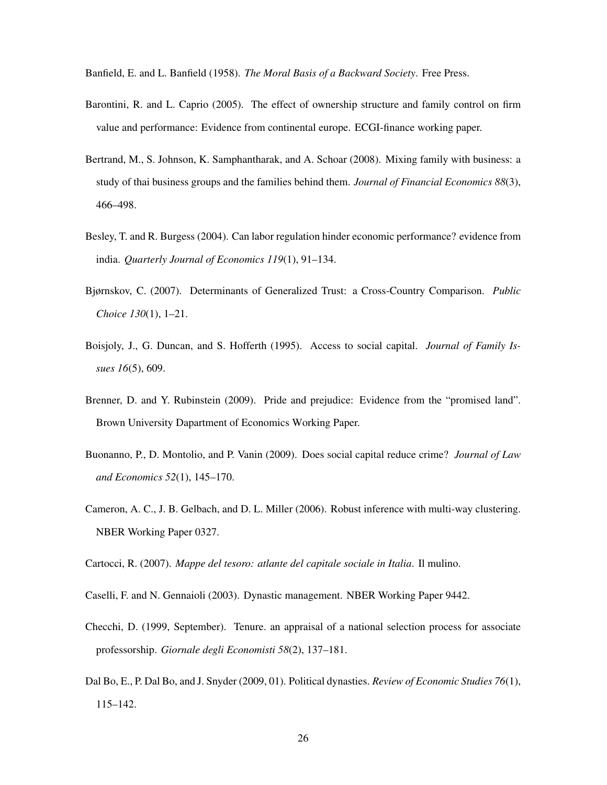Banfield, E. and L. Banfield (1958). *The Moral Basis of a Backward Society*. Free Press.

- Barontini, R. and L. Caprio (2005). The effect of ownership structure and family control on firm value and performance: Evidence from continental europe. ECGI-finance working paper.
- Bertrand, M., S. Johnson, K. Samphantharak, and A. Schoar (2008). Mixing family with business: a study of thai business groups and the families behind them. *Journal of Financial Economics 88*(3), 466–498.
- Besley, T. and R. Burgess (2004). Can labor regulation hinder economic performance? evidence from india. *Quarterly Journal of Economics 119*(1), 91–134.
- Bjørnskov, C. (2007). Determinants of Generalized Trust: a Cross-Country Comparison. *Public Choice 130*(1), 1–21.
- Boisjoly, J., G. Duncan, and S. Hofferth (1995). Access to social capital. *Journal of Family Issues 16*(5), 609.
- Brenner, D. and Y. Rubinstein (2009). Pride and prejudice: Evidence from the "promised land". Brown University Dapartment of Economics Working Paper.
- Buonanno, P., D. Montolio, and P. Vanin (2009). Does social capital reduce crime? *Journal of Law and Economics 52*(1), 145–170.
- Cameron, A. C., J. B. Gelbach, and D. L. Miller (2006). Robust inference with multi-way clustering. NBER Working Paper 0327.

Cartocci, R. (2007). *Mappe del tesoro: atlante del capitale sociale in Italia*. Il mulino.

Caselli, F. and N. Gennaioli (2003). Dynastic management. NBER Working Paper 9442.

- Checchi, D. (1999, September). Tenure. an appraisal of a national selection process for associate professorship. *Giornale degli Economisti 58*(2), 137–181.
- Dal Bo, E., P. Dal Bo, and J. Snyder (2009, 01). Political dynasties. *Review of Economic Studies 76*(1), 115–142.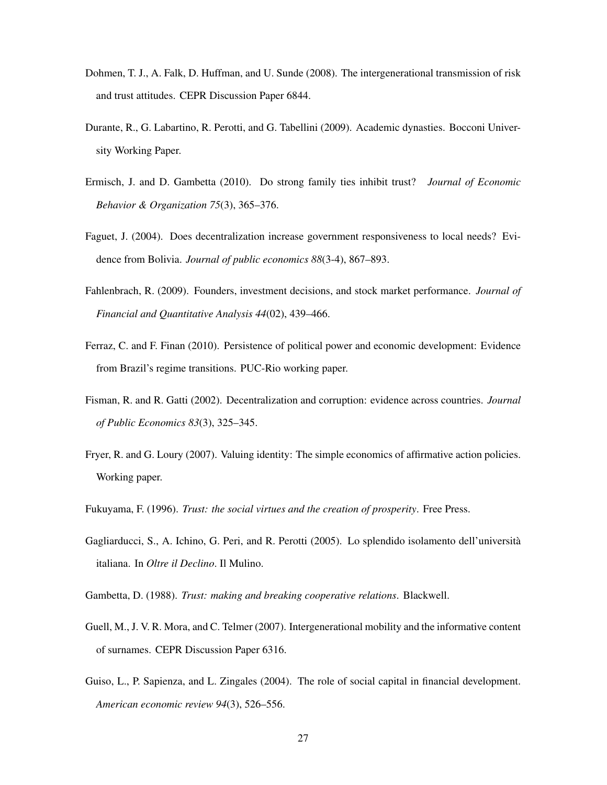- Dohmen, T. J., A. Falk, D. Huffman, and U. Sunde (2008). The intergenerational transmission of risk and trust attitudes. CEPR Discussion Paper 6844.
- Durante, R., G. Labartino, R. Perotti, and G. Tabellini (2009). Academic dynasties. Bocconi University Working Paper.
- Ermisch, J. and D. Gambetta (2010). Do strong family ties inhibit trust? *Journal of Economic Behavior & Organization 75*(3), 365–376.
- Faguet, J. (2004). Does decentralization increase government responsiveness to local needs? Evidence from Bolivia. *Journal of public economics 88*(3-4), 867–893.
- Fahlenbrach, R. (2009). Founders, investment decisions, and stock market performance. *Journal of Financial and Quantitative Analysis 44*(02), 439–466.
- Ferraz, C. and F. Finan (2010). Persistence of political power and economic development: Evidence from Brazil's regime transitions. PUC-Rio working paper.
- Fisman, R. and R. Gatti (2002). Decentralization and corruption: evidence across countries. *Journal of Public Economics 83*(3), 325–345.
- Fryer, R. and G. Loury (2007). Valuing identity: The simple economics of affirmative action policies. Working paper.
- Fukuyama, F. (1996). *Trust: the social virtues and the creation of prosperity*. Free Press.
- Gagliarducci, S., A. Ichino, G. Peri, and R. Perotti (2005). Lo splendido isolamento dell'università italiana. In *Oltre il Declino*. Il Mulino.
- Gambetta, D. (1988). *Trust: making and breaking cooperative relations*. Blackwell.
- Guell, M., J. V. R. Mora, and C. Telmer (2007). Intergenerational mobility and the informative content of surnames. CEPR Discussion Paper 6316.
- Guiso, L., P. Sapienza, and L. Zingales (2004). The role of social capital in financial development. *American economic review 94*(3), 526–556.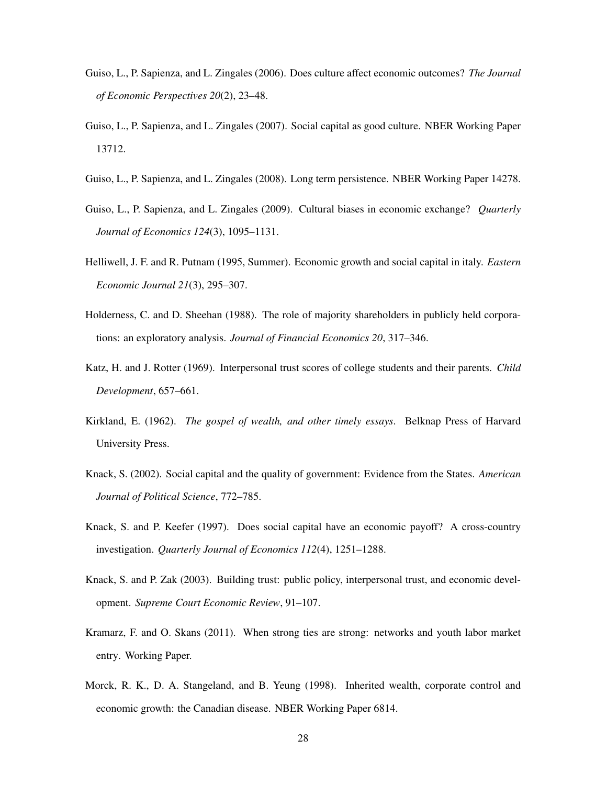- Guiso, L., P. Sapienza, and L. Zingales (2006). Does culture affect economic outcomes? *The Journal of Economic Perspectives 20*(2), 23–48.
- Guiso, L., P. Sapienza, and L. Zingales (2007). Social capital as good culture. NBER Working Paper 13712.
- Guiso, L., P. Sapienza, and L. Zingales (2008). Long term persistence. NBER Working Paper 14278.
- Guiso, L., P. Sapienza, and L. Zingales (2009). Cultural biases in economic exchange? *Quarterly Journal of Economics 124*(3), 1095–1131.
- Helliwell, J. F. and R. Putnam (1995, Summer). Economic growth and social capital in italy. *Eastern Economic Journal 21*(3), 295–307.
- Holderness, C. and D. Sheehan (1988). The role of majority shareholders in publicly held corporations: an exploratory analysis. *Journal of Financial Economics 20*, 317–346.
- Katz, H. and J. Rotter (1969). Interpersonal trust scores of college students and their parents. *Child Development*, 657–661.
- Kirkland, E. (1962). *The gospel of wealth, and other timely essays*. Belknap Press of Harvard University Press.
- Knack, S. (2002). Social capital and the quality of government: Evidence from the States. *American Journal of Political Science*, 772–785.
- Knack, S. and P. Keefer (1997). Does social capital have an economic payoff? A cross-country investigation. *Quarterly Journal of Economics 112*(4), 1251–1288.
- Knack, S. and P. Zak (2003). Building trust: public policy, interpersonal trust, and economic development. *Supreme Court Economic Review*, 91–107.
- Kramarz, F. and O. Skans (2011). When strong ties are strong: networks and youth labor market entry. Working Paper.
- Morck, R. K., D. A. Stangeland, and B. Yeung (1998). Inherited wealth, corporate control and economic growth: the Canadian disease. NBER Working Paper 6814.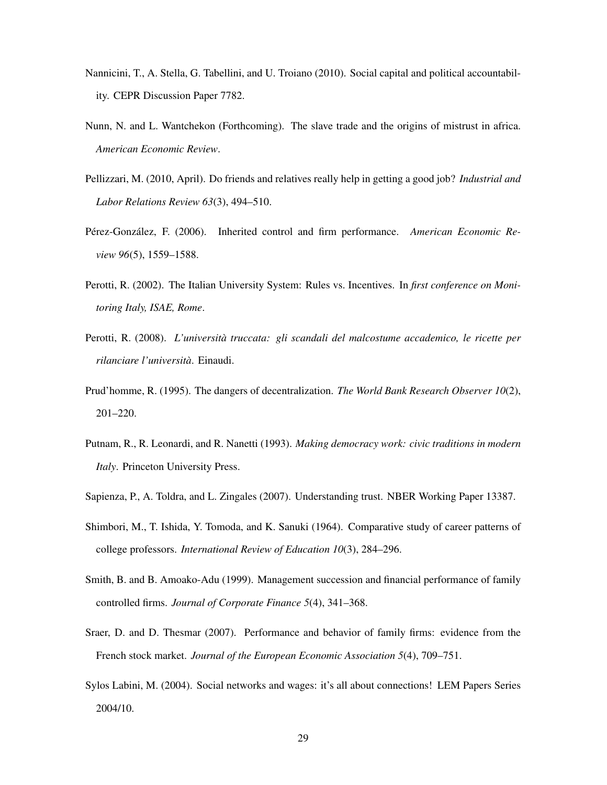- Nannicini, T., A. Stella, G. Tabellini, and U. Troiano (2010). Social capital and political accountability. CEPR Discussion Paper 7782.
- Nunn, N. and L. Wantchekon (Forthcoming). The slave trade and the origins of mistrust in africa. *American Economic Review*.
- Pellizzari, M. (2010, April). Do friends and relatives really help in getting a good job? *Industrial and Labor Relations Review 63*(3), 494–510.
- Pérez-González, F. (2006). Inherited control and firm performance. *American Economic Review 96*(5), 1559–1588.
- Perotti, R. (2002). The Italian University System: Rules vs. Incentives. In *first conference on Monitoring Italy, ISAE, Rome*.
- Perotti, R. (2008). *L'università truccata: gli scandali del malcostume accademico, le ricette per rilanciare l'università*. Einaudi.
- Prud'homme, R. (1995). The dangers of decentralization. *The World Bank Research Observer 10*(2), 201–220.
- Putnam, R., R. Leonardi, and R. Nanetti (1993). *Making democracy work: civic traditions in modern Italy*. Princeton University Press.
- Sapienza, P., A. Toldra, and L. Zingales (2007). Understanding trust. NBER Working Paper 13387.
- Shimbori, M., T. Ishida, Y. Tomoda, and K. Sanuki (1964). Comparative study of career patterns of college professors. *International Review of Education 10*(3), 284–296.
- Smith, B. and B. Amoako-Adu (1999). Management succession and financial performance of family controlled firms. *Journal of Corporate Finance 5*(4), 341–368.
- Sraer, D. and D. Thesmar (2007). Performance and behavior of family firms: evidence from the French stock market. *Journal of the European Economic Association 5*(4), 709–751.
- Sylos Labini, M. (2004). Social networks and wages: it's all about connections! LEM Papers Series 2004/10.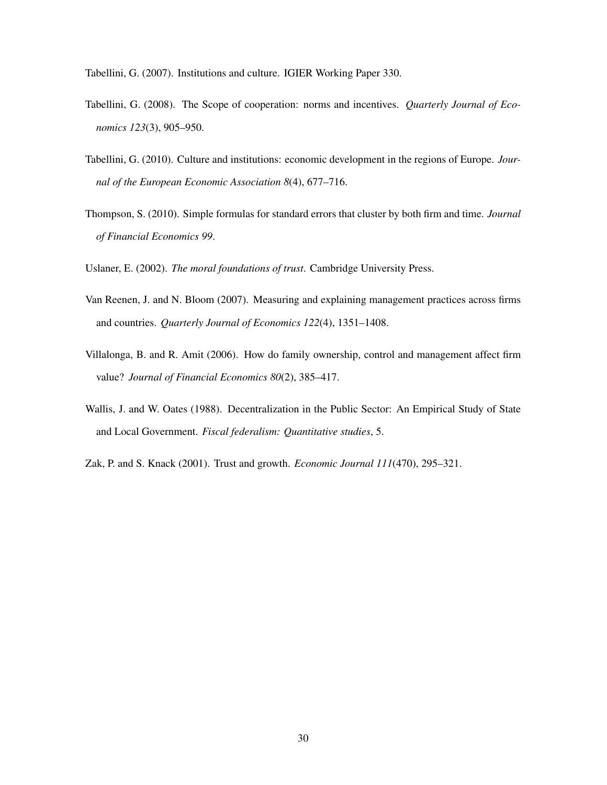Tabellini, G. (2007). Institutions and culture. IGIER Working Paper 330.

- Tabellini, G. (2008). The Scope of cooperation: norms and incentives. *Quarterly Journal of Economics 123*(3), 905–950.
- Tabellini, G. (2010). Culture and institutions: economic development in the regions of Europe. *Journal of the European Economic Association 8*(4), 677–716.
- Thompson, S. (2010). Simple formulas for standard errors that cluster by both firm and time. *Journal of Financial Economics 99*.
- Uslaner, E. (2002). *The moral foundations of trust*. Cambridge University Press.
- Van Reenen, J. and N. Bloom (2007). Measuring and explaining management practices across firms and countries. *Quarterly Journal of Economics 122*(4), 1351–1408.
- Villalonga, B. and R. Amit (2006). How do family ownership, control and management affect firm value? *Journal of Financial Economics 80*(2), 385–417.
- Wallis, J. and W. Oates (1988). Decentralization in the Public Sector: An Empirical Study of State and Local Government. *Fiscal federalism: Quantitative studies*, 5.
- Zak, P. and S. Knack (2001). Trust and growth. *Economic Journal 111*(470), 295–321.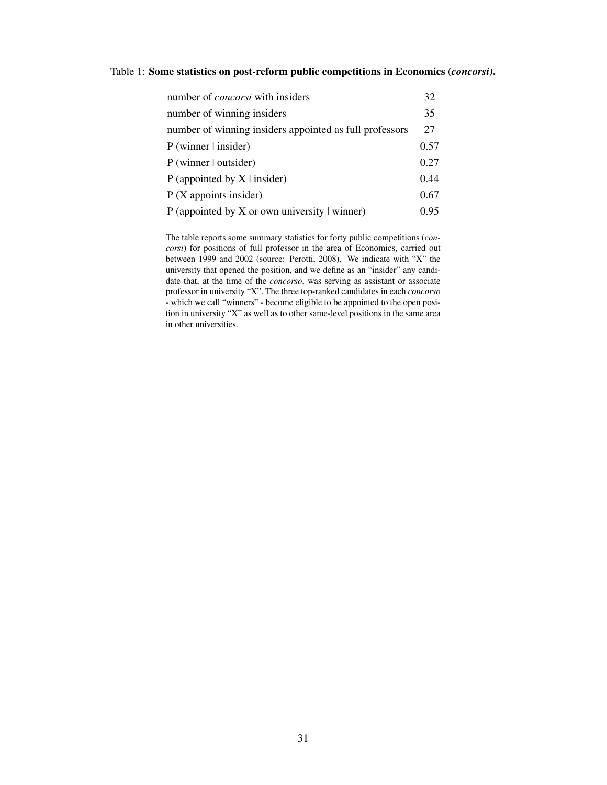| number of <i>concorsi</i> with insiders                 | 32    |
|---------------------------------------------------------|-------|
| number of winning insiders                              | 35    |
| number of winning insiders appointed as full professors | 27    |
| $P$ (winner $\vert$ insider)                            | 0.57  |
| P (winner   outsider)                                   | 0.27  |
| P (appointed by $X \mid$ insider)                       | 0.44  |
| $P(X$ appoints insider)                                 | 0.67  |
| P (appointed by $X$ or own university $\vert$ winner)   | () 95 |

Table 1: Some statistics on post-reform public competitions in Economics (*concorsi)*.

The table reports some summary statistics for forty public competitions (*concorsi*) for positions of full professor in the area of Economics, carried out between 1999 and 2002 (source: Perotti, 2008). We indicate with "X" the university that opened the position, and we define as an "insider" any candidate that, at the time of the *concorso*, was serving as assistant or associate professor in university "X". The three top-ranked candidates in each *concorso* - which we call "winners" - become eligible to be appointed to the open position in university "X" as well as to other same-level positions in the same area in other universities.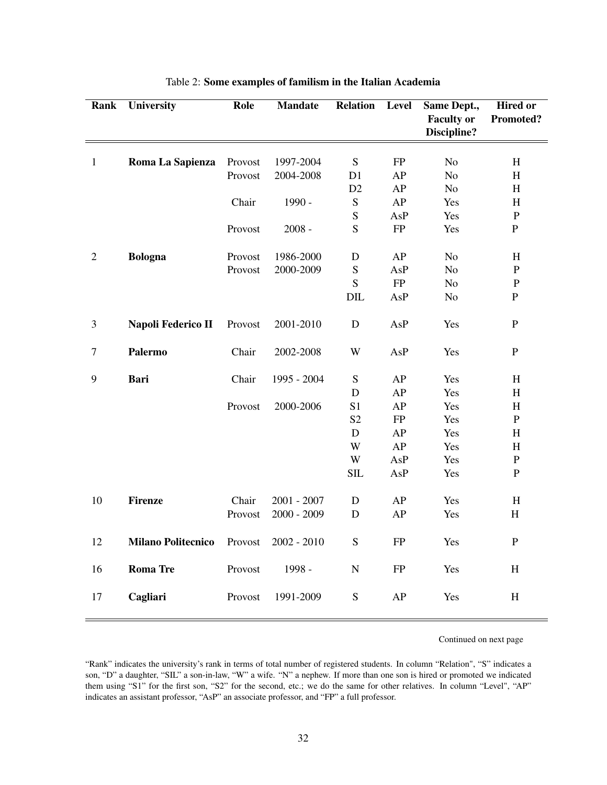| Rank             | University                | Role    | <b>Mandate</b> | <b>Relation</b>         | <b>Level</b> | Same Dept.,       | <b>Hired or</b>           |
|------------------|---------------------------|---------|----------------|-------------------------|--------------|-------------------|---------------------------|
|                  |                           |         |                |                         |              | <b>Faculty or</b> | Promoted?                 |
|                  |                           |         |                |                         |              | Discipline?       |                           |
|                  |                           |         |                |                         |              |                   |                           |
| $\mathbf{1}$     | Roma La Sapienza          | Provost | 1997-2004      | S                       | FP           | No                | H                         |
|                  |                           | Provost | 2004-2008      | D1                      | AP           | $\rm No$          | H                         |
|                  |                           |         |                | D2                      | AP           | N <sub>o</sub>    | H                         |
|                  |                           | Chair   | 1990 -         | S                       | AP           | Yes               | $\boldsymbol{\mathrm{H}}$ |
|                  |                           |         |                | ${\bf S}$               | AsP          | Yes               | ${\bf P}$                 |
|                  |                           | Provost | $2008 -$       | $\overline{S}$          | ${\rm FP}$   | Yes               | $\, {\bf P}$              |
| $\overline{2}$   | <b>Bologna</b>            | Provost | 1986-2000      | $\mathbf D$             | AP           | N <sub>o</sub>    | H                         |
|                  |                           | Provost | 2000-2009      | S                       | AsP          | N <sub>o</sub>    | ${\bf P}$                 |
|                  |                           |         |                | S                       | ${\rm FP}$   | No                | ${\bf P}$                 |
|                  |                           |         |                | DIL                     | AsP          | N <sub>o</sub>    | $\, {\bf P}$              |
|                  |                           |         |                |                         |              |                   |                           |
| 3                | Napoli Federico II        | Provost | 2001-2010      | $\mathbf D$             | AsP          | Yes               | ${\bf P}$                 |
| $\boldsymbol{7}$ | Palermo                   | Chair   | 2002-2008      | W                       | AsP          | Yes               | ${\bf P}$                 |
| 9                | <b>Bari</b>               | Chair   | 1995 - 2004    | S                       | AP           | Yes               | H                         |
|                  |                           |         |                | ${\bf D}$               | AP           | Yes               | $\rm H$                   |
|                  |                           | Provost | 2000-2006      | S <sub>1</sub>          | AP           | Yes               | $\boldsymbol{\mathrm{H}}$ |
|                  |                           |         |                | S <sub>2</sub>          | ${\rm FP}$   | Yes               | ${\bf P}$                 |
|                  |                           |         |                | ${\bf D}$               | AP           | Yes               | H                         |
|                  |                           |         |                | $\ensuremath{\text{W}}$ | AP           | Yes               | H                         |
|                  |                           |         |                | W                       | AsP          | Yes               | ${\bf P}$                 |
|                  |                           |         |                | <b>SIL</b>              | AsP          | Yes               | $\mathbf{P}$              |
| 10               | <b>Firenze</b>            | Chair   | $2001 - 2007$  | $\mathbf D$             | AP           | Yes               | H                         |
|                  |                           | Provost | $2000 - 2009$  | $\mathbf D$             | AP           | Yes               | $\boldsymbol{\mathrm{H}}$ |
| 12               | <b>Milano Politecnico</b> | Provost | $2002 - 2010$  | ${\bf S}$               | FP           | Yes               | $\mathbf{P}$              |
| 16               | <b>Roma</b> Tre           | Provost | 1998 -         | ${\bf N}$               | FP           | Yes               | H                         |
| 17               | Cagliari                  | Provost | 1991-2009      | ${\bf S}$               | AP           | Yes               | H                         |

| Table 2: Some examples of familism in the Italian Academia |  |  |  |  |  |
|------------------------------------------------------------|--|--|--|--|--|
|------------------------------------------------------------|--|--|--|--|--|

Continued on next page

<sup>&</sup>quot;Rank" indicates the university's rank in terms of total number of registered students. In column "Relation", "S" indicates a son, "D" a daughter, "SIL" a son-in-law, "W" a wife. "N" a nephew. If more than one son is hired or promoted we indicated them using "S1" for the first son, "S2" for the second, etc.; we do the same for other relatives. In column "Level", "AP" indicates an assistant professor, "AsP" an associate professor, and "FP" a full professor.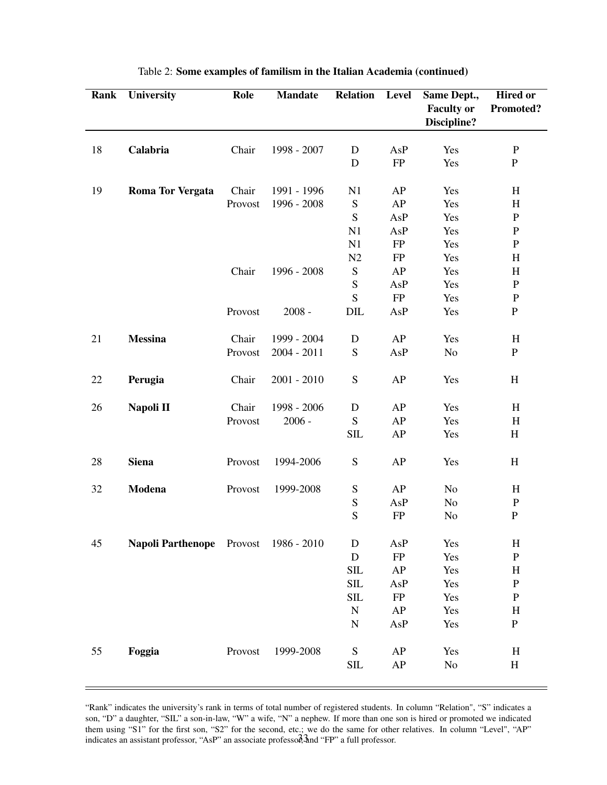| Rank | <b>University</b>                | Role    | <b>Mandate</b> | <b>Relation</b> | <b>Level</b> | Same Dept.,       | <b>Hired or</b>           |
|------|----------------------------------|---------|----------------|-----------------|--------------|-------------------|---------------------------|
|      |                                  |         |                |                 |              | <b>Faculty or</b> | <b>Promoted?</b>          |
|      |                                  |         |                |                 |              | Discipline?       |                           |
| 18   | Calabria                         | Chair   | 1998 - 2007    | D               | AsP          | Yes               | $\, {\bf P}$              |
|      |                                  |         |                | D               | FP           | Yes               | ${\bf P}$                 |
|      |                                  |         |                |                 |              |                   |                           |
| 19   | <b>Roma Tor Vergata</b>          | Chair   | 1991 - 1996    | N1              | AP           | Yes               | H                         |
|      |                                  | Provost | 1996 - 2008    | ${\bf S}$       | AP           | Yes               | H                         |
|      |                                  |         |                | ${\bf S}$       | AsP          | Yes               | ${\bf P}$                 |
|      |                                  |         |                | N1              | AsP          | Yes               | ${\bf P}$                 |
|      |                                  |         |                | N1              | FP           | Yes               | ${\bf P}$                 |
|      |                                  |         |                | N2              | <b>FP</b>    | Yes               | $\boldsymbol{\mathrm{H}}$ |
|      |                                  | Chair   | 1996 - 2008    | ${\bf S}$       | AP           | Yes               | H                         |
|      |                                  |         |                | ${\bf S}$       | AsP          | Yes               | ${\bf P}$                 |
|      |                                  |         |                | S               | FP           | Yes               | $\, {\bf P}$              |
|      |                                  | Provost | $2008 -$       | DIL             | AsP          | Yes               | ${\bf P}$                 |
|      |                                  |         |                |                 |              |                   |                           |
| 21   | <b>Messina</b>                   | Chair   | 1999 - 2004    | $\mathbf D$     | AP           | Yes               | H                         |
|      |                                  | Provost | $2004 - 2011$  | S               | AsP          | No                | ${\bf P}$                 |
| 22   | Perugia                          | Chair   | $2001 - 2010$  | ${\bf S}$       | AP           | Yes               | H                         |
|      |                                  |         |                |                 |              |                   |                           |
| 26   | Napoli II                        | Chair   | 1998 - 2006    | $\mathbf D$     | AP           | Yes               | H                         |
|      |                                  | Provost | $2006 -$       | ${\bf S}$       | AP           | Yes               | H                         |
|      |                                  |         |                | <b>SIL</b>      | AP           | Yes               | H                         |
| 28   | <b>Siena</b>                     | Provost | 1994-2006      | ${\bf S}$       | AP           | Yes               | H                         |
| 32   | Modena                           | Provost | 1999-2008      | ${\mathbf S}$   | AP           | No                | H                         |
|      |                                  |         |                | ${\mathbf S}$   | AsP          | No                | $\, {\bf P}$              |
|      |                                  |         |                | S               | <b>FP</b>    | No                | ${\bf P}$                 |
| 45   | <b>Napoli Parthenope</b> Provost |         | 1986 - 2010    | D               | AsP          | Yes               | H                         |
|      |                                  |         |                | D               | FP           | Yes               | ${\bf P}$                 |
|      |                                  |         |                | SIL             | AP           | Yes               | H                         |
|      |                                  |         |                | SIL             | AsP          | Yes               | ${\bf P}$                 |
|      |                                  |         |                | SIL             | FP           | Yes               | $\, {\bf P}$              |
|      |                                  |         |                | ${\bf N}$       | AP           | Yes               | $H_{\rm}$                 |
|      |                                  |         |                | $\mathbf N$     | AsP          | Yes               | ${\bf P}$                 |
|      |                                  |         |                |                 |              |                   |                           |
| 55   | Foggia                           | Provost | 1999-2008      | ${\bf S}$       | AP           | Yes               | $H_{\rm}$                 |
|      |                                  |         |                | <b>SIL</b>      | AP           | $\rm No$          | $\, {\rm H}$              |
|      |                                  |         |                |                 |              |                   |                           |

### Table 2: Some examples of familism in the Italian Academia (continued)

"Rank" indicates the university's rank in terms of total number of registered students. In column "Relation", "S" indicates a son, "D" a daughter, "SIL" a son-in-law, "W" a wife, "N" a nephew. If more than one son is hired or promoted we indicated them using "S1" for the first son, "S2" for the second, etc.; we do the same for other relatives. In column "Level", "AP" indicates an assistant professor, "AsP" an associate professor,  $\frac{3}{3}$  and "FP" a full professor.

 $\equiv$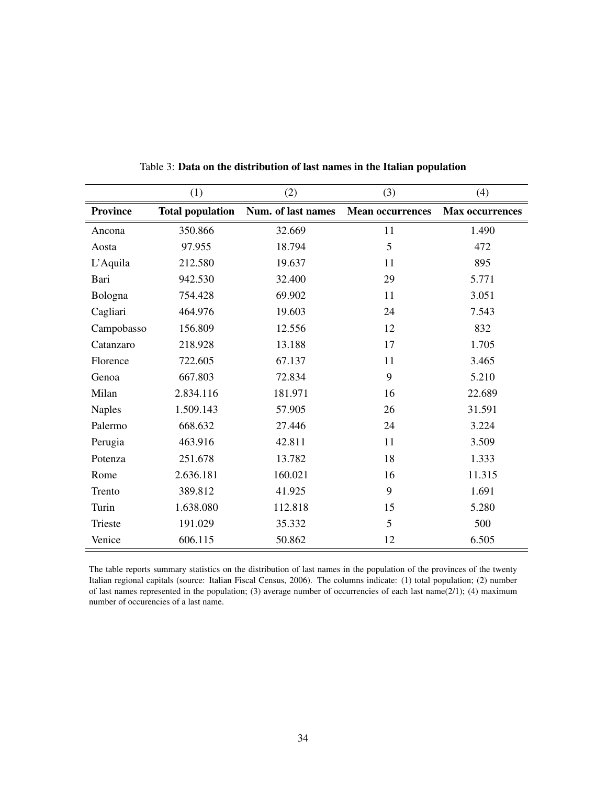|                 | (1)                     | (2)                | (3)                     | (4)                    |
|-----------------|-------------------------|--------------------|-------------------------|------------------------|
| <b>Province</b> | <b>Total population</b> | Num. of last names | <b>Mean occurrences</b> | <b>Max occurrences</b> |
| Ancona          | 350.866                 | 32.669             | 11                      | 1.490                  |
| Aosta           | 97.955                  | 18.794             | 5                       | 472                    |
| L'Aquila        | 212.580                 | 19.637             | 11                      | 895                    |
| Bari            | 942.530                 | 32.400             | 29                      | 5.771                  |
| Bologna         | 754.428                 | 69.902             | 11                      | 3.051                  |
| Cagliari        | 464.976                 | 19.603             | 24                      | 7.543                  |
| Campobasso      | 156.809                 | 12.556             | 12                      | 832                    |
| Catanzaro       | 218.928                 | 13.188             | 17                      | 1.705                  |
| Florence        | 722.605                 | 67.137             | 11                      | 3.465                  |
| Genoa           | 667.803                 | 72.834             | 9                       | 5.210                  |
| Milan           | 2.834.116               | 181.971            | 16                      | 22.689                 |
| <b>Naples</b>   | 1.509.143               | 57.905             | 26                      | 31.591                 |
| Palermo         | 668.632                 | 27.446             | 24                      | 3.224                  |
| Perugia         | 463.916                 | 42.811             | 11                      | 3.509                  |
| Potenza         | 251.678                 | 13.782             | 18                      | 1.333                  |
| Rome            | 2.636.181               | 160.021            | 16                      | 11.315                 |
| Trento          | 389.812                 | 41.925             | 9                       | 1.691                  |
| Turin           | 1.638.080               | 112.818            | 15                      | 5.280                  |
| Trieste         | 191.029                 | 35.332             | 5                       | 500                    |
| Venice          | 606.115                 | 50.862             | 12                      | 6.505                  |

Table 3: Data on the distribution of last names in the Italian population

The table reports summary statistics on the distribution of last names in the population of the provinces of the twenty Italian regional capitals (source: Italian Fiscal Census, 2006). The columns indicate: (1) total population; (2) number of last names represented in the population; (3) average number of occurrencies of each last name(2/1); (4) maximum number of occurencies of a last name.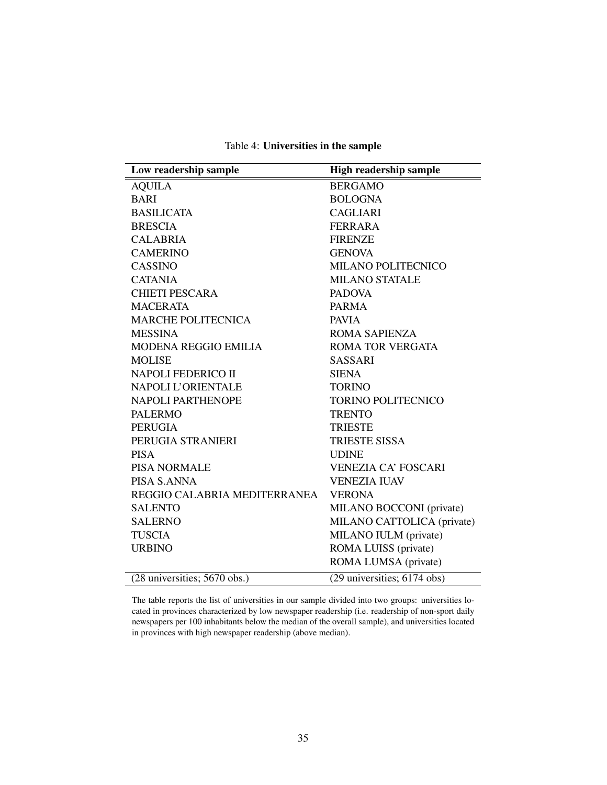Table 4: Universities in the sample

| Low readership sample        | <b>High readership sample</b> |
|------------------------------|-------------------------------|
| <b>AQUILA</b>                | <b>BERGAMO</b>                |
| <b>BARI</b>                  | <b>BOLOGNA</b>                |
| <b>BASILICATA</b>            | <b>CAGLIARI</b>               |
| <b>BRESCIA</b>               | <b>FERRARA</b>                |
| <b>CALABRIA</b>              | <b>FIRENZE</b>                |
| <b>CAMERINO</b>              | <b>GENOVA</b>                 |
| CASSINO                      | MILANO POLITECNICO            |
| <b>CATANIA</b>               | <b>MILANO STATALE</b>         |
| <b>CHIETI PESCARA</b>        | <b>PADOVA</b>                 |
| <b>MACERATA</b>              | <b>PARMA</b>                  |
| <b>MARCHE POLITECNICA</b>    | <b>PAVIA</b>                  |
| <b>MESSINA</b>               | <b>ROMA SAPIENZA</b>          |
| <b>MODENA REGGIO EMILIA</b>  | <b>ROMA TOR VERGATA</b>       |
| <b>MOLISE</b>                | <b>SASSARI</b>                |
| NAPOLI FEDERICO II           | <b>SIENA</b>                  |
| NAPOLI L'ORIENTALE           | <b>TORINO</b>                 |
| NAPOLI PARTHENOPE            | <b>TORINO POLITECNICO</b>     |
| <b>PALERMO</b>               | <b>TRENTO</b>                 |
| <b>PERUGIA</b>               | <b>TRIESTE</b>                |
| PERUGIA STRANIERI            | <b>TRIESTE SISSA</b>          |
| <b>PISA</b>                  | <b>UDINE</b>                  |
| <b>PISA NORMALE</b>          | <b>VENEZIA CA' FOSCARI</b>    |
| PISA S.ANNA                  | <b>VENEZIA IUAV</b>           |
| REGGIO CALABRIA MEDITERRANEA | <b>VERONA</b>                 |
| <b>SALENTO</b>               | MILANO BOCCONI (private)      |
| <b>SALERNO</b>               | MILANO CATTOLICA (private)    |
| <b>TUSCIA</b>                | MILANO IULM (private)         |
| <b>URBINO</b>                | ROMA LUISS (private)          |
|                              | ROMA LUMSA (private)          |
| (28 universities; 5670 obs.) | (29 universities; 6174 obs)   |

The table reports the list of universities in our sample divided into two groups: universities located in provinces characterized by low newspaper readership (i.e. readership of non-sport daily newspapers per 100 inhabitants below the median of the overall sample), and universities located in provinces with high newspaper readership (above median).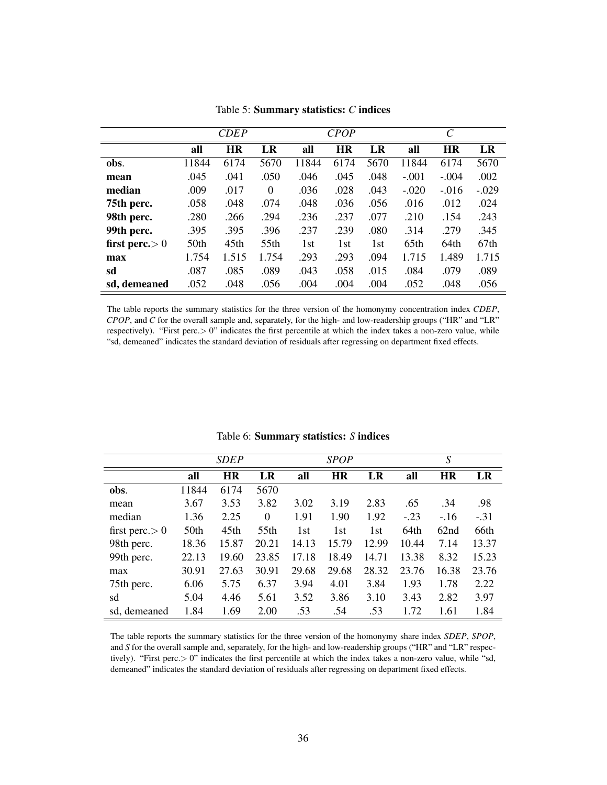|                  |                  | <b>CDEP</b>      |       |       | <b>CPOP</b> |      |         | $\mathcal{C}_{0}^{0}$ |         |
|------------------|------------------|------------------|-------|-------|-------------|------|---------|-----------------------|---------|
|                  | all              | <b>HR</b>        | LR    | all   | <b>HR</b>   | LR   | all     | <b>HR</b>             | LR      |
| obs.             | 11844            | 6174             | 5670  | 11844 | 6174        | 5670 | 11844   | 6174                  | 5670    |
| mean             | .045             | .041             | .050  | .046  | .045        | .048 | $-.001$ | $-.004$               | .002    |
| median           | .009             | .017             | 0     | .036  | .028        | .043 | $-.020$ | $-.016$               | $-.029$ |
| 75th perc.       | .058             | .048             | .074  | .048  | .036        | .056 | .016    | .012                  | .024    |
| 98th perc.       | .280             | .266             | .294  | .236  | .237        | .077 | .210    | .154                  | .243    |
| 99th perc.       | .395             | .395             | .396  | .237  | .239        | .080 | .314    | .279                  | .345    |
| first perc. $>0$ | 50 <sub>th</sub> | 45 <sub>th</sub> | 55th  | 1st   | 1st         | 1st  | 65th    | 64th                  | 67th    |
| max              | 1.754            | 1.515            | 1.754 | .293  | .293        | .094 | 1.715   | 1.489                 | 1.715   |
| sd               | .087             | .085             | .089  | .043  | .058        | .015 | .084    | .079                  | .089    |
| sd. demeaned     | .052             | .048             | .056  | .004  | .004        | .004 | .052    | .048                  | .056    |

Table 5: Summary statistics: *C* indices

The table reports the summary statistics for the three version of the homonymy concentration index *CDEP*, *CPOP*, and *C* for the overall sample and, separately, for the high- and low-readership groups ("HR" and "LR" respectively). "First perc.> 0" indicates the first percentile at which the index takes a non-zero value, while "sd, demeaned" indicates the standard deviation of residuals after regressing on department fixed effects.

|                   |       | <b>SDEP</b> |          |       | SPOP      |       |        | S                |        |
|-------------------|-------|-------------|----------|-------|-----------|-------|--------|------------------|--------|
|                   | all   | <b>HR</b>   | LR       | all   | <b>HR</b> | LR    | all    | <b>HR</b>        | LR     |
| obs.              | 11844 | 6174        | 5670     |       |           |       |        |                  |        |
| mean              | 3.67  | 3.53        | 3.82     | 3.02  | 3.19      | 2.83  | .65    | .34              | .98    |
| median            | 1.36  | 2.25        | $\theta$ | 1.91  | 1.90      | 1.92  | $-.23$ | $-.16$           | $-.31$ |
| first perc. $> 0$ | 50th  | 45th        | 55th     | 1st   | 1st       | 1st   | 64th   | 62 <sub>nd</sub> | 66th   |
| 98th perc.        | 18.36 | 15.87       | 20.21    | 14.13 | 15.79     | 12.99 | 10.44  | 7.14             | 13.37  |
| 99th perc.        | 22.13 | 19.60       | 23.85    | 17.18 | 18.49     | 14.71 | 13.38  | 8.32             | 15.23  |
| max               | 30.91 | 27.63       | 30.91    | 29.68 | 29.68     | 28.32 | 23.76  | 16.38            | 23.76  |
| 75th perc.        | 6.06  | 5.75        | 6.37     | 3.94  | 4.01      | 3.84  | 1.93   | 1.78             | 2.22   |
| sd                | 5.04  | 4.46        | 5.61     | 3.52  | 3.86      | 3.10  | 3.43   | 2.82             | 3.97   |
| sd. demeaned      | 1.84  | 1.69        | 2.00     | .53   | .54       | .53   | 1.72   | 1.61             | 1.84   |

Table 6: Summary statistics: *S* indices

The table reports the summary statistics for the three version of the homonymy share index *SDEP*, *SPOP*, and *S* for the overall sample and, separately, for the high- and low-readership groups ("HR" and "LR" respectively). "First perc.> 0" indicates the first percentile at which the index takes a non-zero value, while "sd, demeaned" indicates the standard deviation of residuals after regressing on department fixed effects.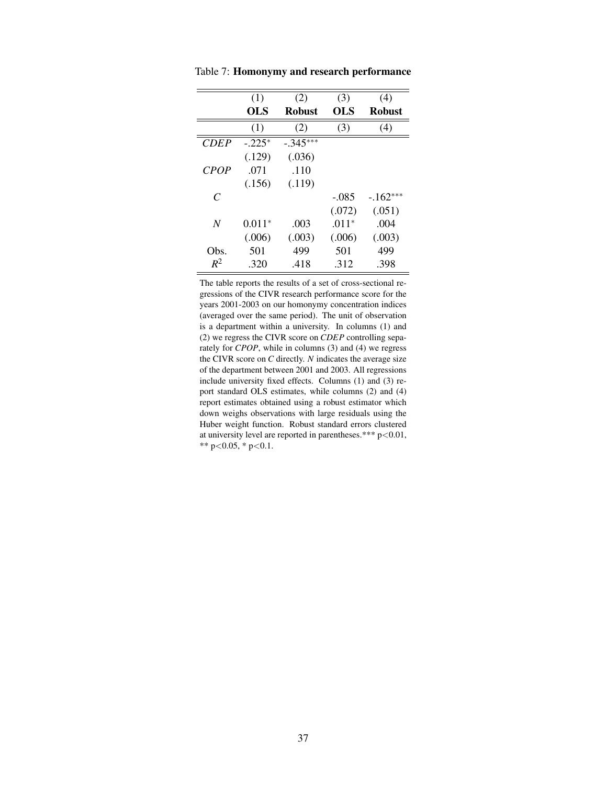|               | (1)      | (2)           | (3)     | (4)           |
|---------------|----------|---------------|---------|---------------|
|               | OLS      | <b>Robust</b> | OLS     | <b>Robust</b> |
|               | (1)      | (2)           | (3)     | (4)           |
| <b>CDEP</b>   | $-.225*$ | $-.345***$    |         |               |
|               | (.129)   | (.036)        |         |               |
| <b>CPOP</b>   | .071     | .110          |         |               |
|               | (.156)   | (.119)        |         |               |
| $\mathcal{C}$ |          |               | $-.085$ | $-162***$     |
|               |          |               | (.072)  | (.051)        |
| N             | $0.011*$ | .003          | $.011*$ | .004          |
|               | (.006)   | (.003)        | (.006)  | (.003)        |
| Obs.          | 501      | 499           | 501     | 499           |
| $R^2$         | .320     | .418          | .312    | .398          |

Table 7: Homonymy and research performance

The table reports the results of a set of cross-sectional regressions of the CIVR research performance score for the years 2001-2003 on our homonymy concentration indices (averaged over the same period). The unit of observation is a department within a university. In columns (1) and (2) we regress the CIVR score on *CDEP* controlling separately for *CPOP*, while in columns (3) and (4) we regress the CIVR score on *C* directly. *N* indicates the average size of the department between 2001 and 2003. All regressions include university fixed effects. Columns (1) and (3) report standard OLS estimates, while columns (2) and (4) report estimates obtained using a robust estimator which down weighs observations with large residuals using the Huber weight function. Robust standard errors clustered at university level are reported in parentheses.\*\*\* p<0.01, \*\* p<0.05, \* p<0.1.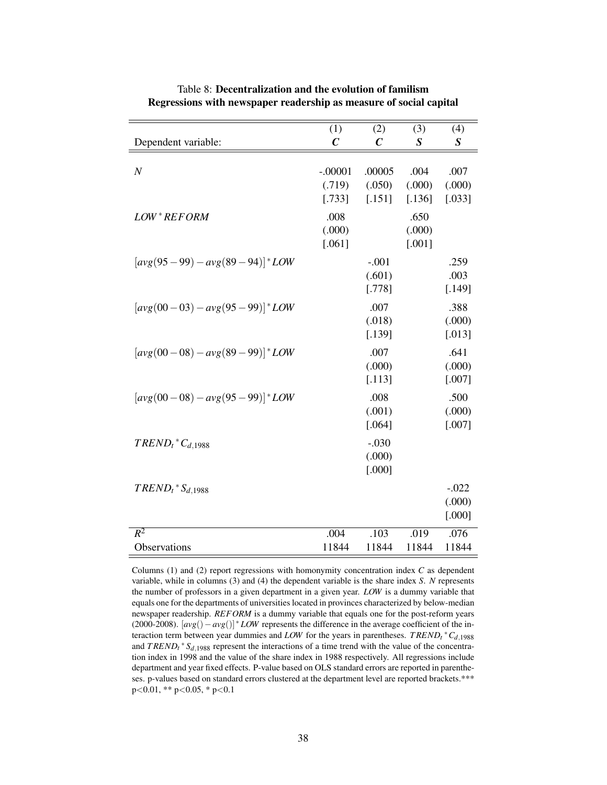|                                        | (1)                           | (2)                         | (3)                        | (4)                         |
|----------------------------------------|-------------------------------|-----------------------------|----------------------------|-----------------------------|
| Dependent variable:                    | $\mathcal C$                  | $\boldsymbol{C}$            | $\boldsymbol{S}$           | $\boldsymbol{S}$            |
| $\boldsymbol{N}$                       | $-.00001$<br>(.719)<br>[.733] | .00005<br>(.050)<br>[.151]  | .004<br>(.000)<br>[.136]   | .007<br>(.000)<br>[.033]    |
| LOW*REFORM                             | .008<br>(.000)<br>$[.061]$    |                             | .650<br>(.000)<br>$[.001]$ |                             |
| $[avg(95-99) - avg(89-94)]$ * LOW      |                               | $-.001$<br>(.601)<br>[.778] |                            | .259<br>.003<br>[.149]      |
| $[avg(00-03) - avg(95-99)]$ * LOW      |                               | .007<br>(.018)<br>[.139]    |                            | .388<br>(.000)<br>$[.013]$  |
| $[avg(00-08)-avg(89-99)]$ * <i>LOW</i> |                               | .007<br>(.000)<br>[.113]    |                            | .641<br>(.000)<br>$[.007]$  |
| $[avg(00-08)-avg(95-99)]$ * <i>LOW</i> |                               | .008<br>(.001)<br>[.064]    |                            | .500<br>(.000)<br>[.007]    |
| $TREDD_t$ <sup>*</sup> $C_{d,1988}$    |                               | $-.030$<br>(.000)<br>[.000] |                            |                             |
| $TREDD_t$ * $S_{d,1988}$               |                               |                             |                            | $-.022$<br>(.000)<br>[.000] |
| $R^2$                                  | .004                          | $\overline{.103}$           | .019                       | .076                        |
| Observations                           | 11844                         | 11844                       | 11844                      | 11844                       |

Table 8: Decentralization and the evolution of familism Regressions with newspaper readership as measure of social capital

Columns (1) and (2) report regressions with homonymity concentration index *C* as dependent variable, while in columns (3) and (4) the dependent variable is the share index *S*. *N* represents the number of professors in a given department in a given year. *LOW* is a dummy variable that equals one for the departments of universities located in provinces characterized by below-median newspaper readership. *REFORM* is a dummy variable that equals one for the post-reform years (2000-2008). [*avg*()−*avg*()] <sup>∗</sup> *LOW* represents the difference in the average coefficient of the interaction term between year dummies and *LOW* for the years in parentheses. *T RENDt* <sup>∗</sup>*Cd*,<sup>1988</sup> and  $T\text{REND}_t$ <sup>\*</sup>  $S_{d,1988}$  represent the interactions of a time trend with the value of the concentration index in 1998 and the value of the share index in 1988 respectively. All regressions include department and year fixed effects. P-value based on OLS standard errors are reported in parentheses. p-values based on standard errors clustered at the department level are reported brackets.\*\*\* p<0.01, \*\* p<0.05, \* p<0.1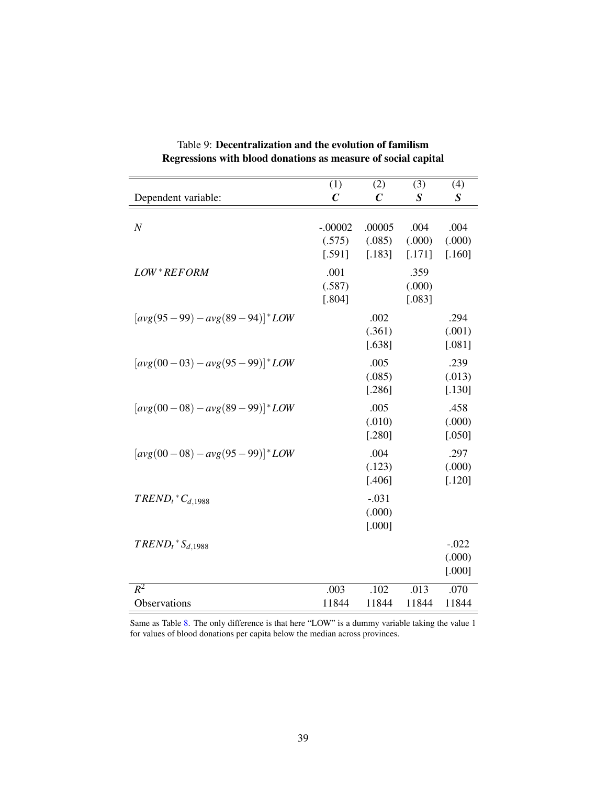|                                   | (1)                           | (2)                         | (3)                      | (4)                         |
|-----------------------------------|-------------------------------|-----------------------------|--------------------------|-----------------------------|
| Dependent variable:               | $\mathcal C$                  | $\mathcal C$                | $\boldsymbol{S}$         | $\boldsymbol{S}$            |
| $\boldsymbol{N}$                  | $-.00002$<br>(.575)<br>[.591] | .00005<br>(.085)<br>[.183]  | .004<br>(.000)<br>[.171] | .004<br>(.000)<br>[.160]    |
| LOW*REFORM                        | .001<br>(.587)<br>[.804]      |                             | .359<br>(.000)<br>[.083] |                             |
| $[avg(95-99) - avg(89-94)]$ * LOW |                               | .002<br>(.361)<br>[.638]    |                          | .294<br>(.001)<br>$[.081]$  |
| $[avg(00-03) - avg(95-99)]$ * LOW |                               | .005<br>(.085)<br>[.286]    |                          | .239<br>(.013)<br>$[.130]$  |
| $[avg(00-08)-avg(89-99)]$ *LOW    |                               | .005<br>(.010)<br>$[.280]$  |                          | .458<br>(.000)<br>[.050]    |
| $[avg(00-08)-avg(95-99)]$ * LOW   |                               | .004<br>(.123)<br>$[.406]$  |                          | .297<br>(.000)<br>$[.120]$  |
| $TREDD_t$ * $C_{d,1988}$          |                               | $-.031$<br>(.000)<br>[.000] |                          |                             |
| $TREDD_t$ * $S_{d,1988}$          |                               |                             |                          | $-.022$<br>(.000)<br>[.000] |
| $R^2$                             | .003                          | .102                        | .013                     | .070                        |
| Observations                      | 11844                         | 11844                       | 11844                    | 11844                       |

Table 9: Decentralization and the evolution of familism Regressions with blood donations as measure of social capital

Same as Table 8. The only difference is that here "LOW" is a dummy variable taking the value 1 for values of blood donations per capita below the median across provinces.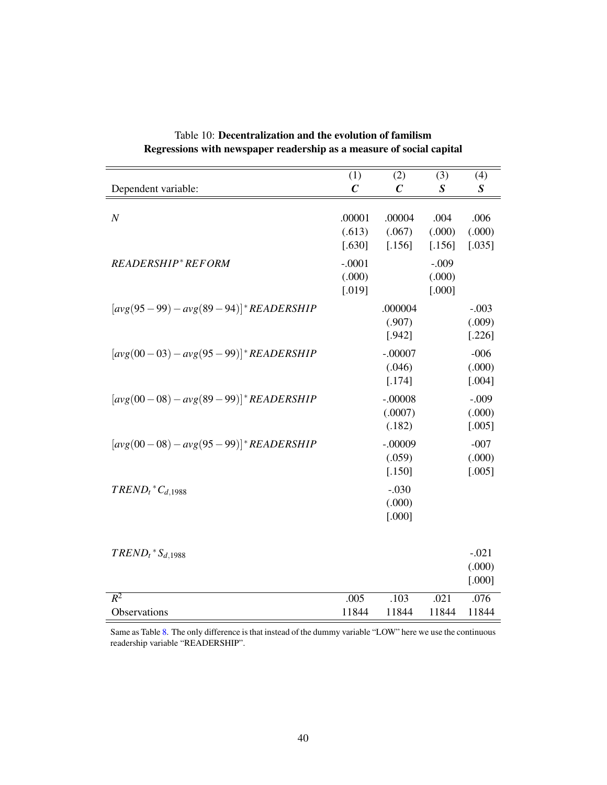|                                               | (1)                          | (2)                            | (3)                         | (4)                         |
|-----------------------------------------------|------------------------------|--------------------------------|-----------------------------|-----------------------------|
| Dependent variable:                           | $\mathcal C$                 | $\boldsymbol{C}$               | $\boldsymbol{S}$            | S                           |
| $\cal N$                                      | .00001<br>(.613)<br>[.630]   | .00004<br>(.067)<br>[.156]     | .004<br>(.000)<br>[.156]    | .006<br>(.000)<br>[.035]    |
| READERSHIP*REFORM                             | $-.0001$<br>(.000)<br>[.019] |                                | $-.009$<br>(.000)<br>[.000] |                             |
| $[avg(95-99) - avg(89-94)]$ <i>READERSHIP</i> |                              | .000004<br>(.907)<br>[.942]    |                             | $-.003$<br>(.009)<br>[.226] |
| $[avg(00-03) - avg(95-99)]$ <i>READERSHIP</i> |                              | $-.00007$<br>(.046)<br>[.174]  |                             | $-006$<br>(.000)<br>[.004]  |
| $[avg(00-08) - avg(89-99)]$ <i>READERSHIP</i> |                              | $-.00008$<br>(.0007)<br>(.182) |                             | $-.009$<br>(.000)<br>[.005] |
| $[avg(00-08) - avg(95-99)]$ <i>READERSHIP</i> |                              | $-.00009$<br>(.059)<br>[.150]  |                             | $-007$<br>(.000)<br>[.005]  |
| $TREDD_t$ <sup>*</sup> $C_{d,1988}$           |                              | $-.030$<br>(.000)<br>[.000]    |                             |                             |
| $T\text{REND}_t$ * $S_{d,1988}$               |                              |                                |                             | $-.021$<br>(.000)<br>[.000] |
| $R^2$                                         | .005                         | .103                           | .021                        | .076                        |
| Observations                                  | 11844                        | 11844                          | 11844                       | 11844                       |

Table 10: Decentralization and the evolution of familism Regressions with newspaper readership as a measure of social capital

Same as Table 8. The only difference is that instead of the dummy variable "LOW" here we use the continuous readership variable "READERSHIP".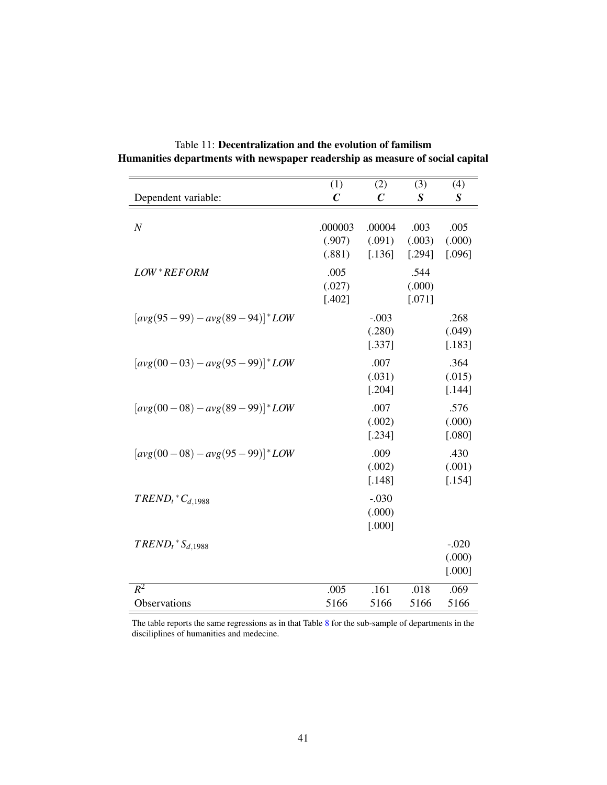|                                          | (1)                         | (2)                         | (3)                        | (4)                         |
|------------------------------------------|-----------------------------|-----------------------------|----------------------------|-----------------------------|
| Dependent variable:                      | $\mathcal C$                | $\mathcal{C}_{0}^{0}$       | $\boldsymbol{S}$           | $\boldsymbol{S}$            |
| $\boldsymbol{N}$                         | .000003<br>(.907)<br>(.881) | .00004<br>(.091)<br>[.136]  | .003<br>(.003)<br>[.294]   | .005<br>(.000)<br>[.096]    |
| LOW*REFORM                               | .005<br>(.027)<br>$[.402]$  |                             | .544<br>(.000)<br>$[.071]$ |                             |
| $[avg(95-99) - avg(89-94)]$ * LOW        |                             | $-.003$<br>(.280)<br>[.337] |                            | .268<br>(.049)<br>[.183]    |
| $[avg(00-03) - avg(95-99)]$ * LOW        |                             | .007<br>(.031)<br>[.204]    |                            | .364<br>(.015)<br>[.144]    |
| $[avg(00-08) - avg(89-99)]$ * LOW        |                             | .007<br>(.002)<br>[.234]    |                            | .576<br>(.000)<br>$[.080]$  |
| $[avg(00-08) - avg(95-99)]$ * <i>LOW</i> |                             | .009<br>(.002)<br>[.148]    |                            | .430<br>(.001)<br>[.154]    |
| $TREDD_t$ <sup>*</sup> $C_{d,1988}$      |                             | $-.030$<br>(.000)<br>[.000] |                            |                             |
| $TREDD_t$ * $S_{d,1988}$                 |                             |                             |                            | $-.020$<br>(.000)<br>[.000] |
| $R^2$                                    | .005                        | .161                        | .018                       | .069                        |
| Observations                             | 5166                        | 5166                        | 5166                       | 5166                        |

Table 11: Decentralization and the evolution of familism Humanities departments with newspaper readership as measure of social capital

The table reports the same regressions as in that Table 8 for the sub-sample of departments in the disciliplines of humanities and medecine.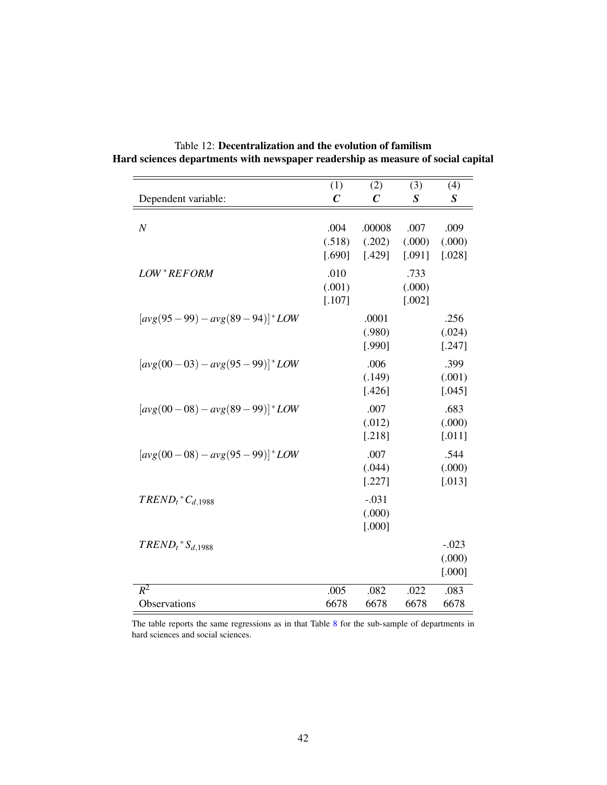|                                          | (1)                      | (2)                         | (3)                        | (4)                         |
|------------------------------------------|--------------------------|-----------------------------|----------------------------|-----------------------------|
| Dependent variable:                      | $\mathcal C$             | $\mathcal{C}_{0}^{0}$       | $\boldsymbol{S}$           | $\boldsymbol{S}$            |
| $\boldsymbol{N}$                         | .004<br>(.518)<br>[.690] | .00008<br>(.202)<br>[.429]  | .007<br>(.000)<br>[.091]   | .009<br>(.000)<br>$[.028]$  |
| LOW*REFORM                               | .010<br>(.001)<br>[.107] |                             | .733<br>(.000)<br>$[.002]$ |                             |
| $[avg(95-99) - avg(89-94)]$ * LOW        |                          | .0001<br>(.980)<br>[.990]   |                            | .256<br>(.024)<br>[.247]    |
| $[avg(00-03) - avg(95-99)]$ * LOW        |                          | .006<br>(.149)<br>[.426]    |                            | .399<br>(.001)<br>[.045]    |
| $[avg(00-08) - avg(89-99)]$ * <i>LOW</i> |                          | .007<br>(.012)<br>$[.218]$  |                            | .683<br>(.000)<br>$[.011]$  |
| $[avg(00-08) - avg(95-99)]$ * <i>LOW</i> |                          | .007<br>(.044)<br>[.227]    |                            | .544<br>(.000)<br>$[.013]$  |
| $TREDD_t$ <sup>*</sup> $C_{d,1988}$      |                          | $-.031$<br>(.000)<br>[.000] |                            |                             |
| $TREDD_t$ * $S_{d,1988}$                 |                          |                             |                            | $-.023$<br>(.000)<br>[.000] |
| $R^2$                                    | .005                     | .082                        | .022                       | .083                        |
| Observations                             | 6678                     | 6678                        | 6678                       | 6678                        |

Table 12: Decentralization and the evolution of familism Hard sciences departments with newspaper readership as measure of social capital

The table reports the same regressions as in that Table 8 for the sub-sample of departments in hard sciences and social sciences.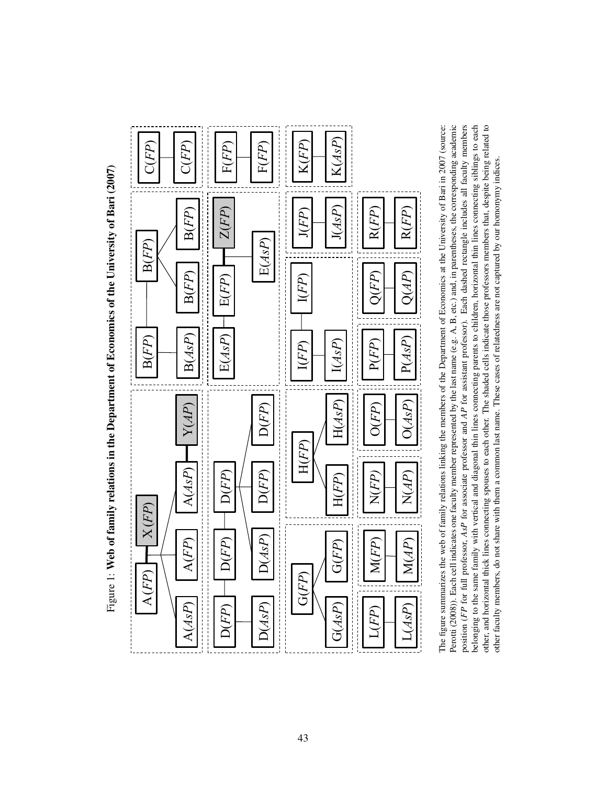Figure 1: Web of family relations in the Department of Economics of the University of Bari (2007) Figure 1: Web of family relations in the Department of Economics of the University of Bari (2007)



Perotti (2008)). Each cell indicates one faculty member represented by the last name (e.g. A, B, etc.) and, in parentheses, the corresponding academic position (FP for full professor, AsP for associate professor and AP for assistant professor). Each dashed rectangle includes all faculty members belonging to the same family with vertical and diagonal thin lines connecting parents to children, horizontal thin lines connecting siblings to each other, and horizontal thick lines connecting spouses to each other. The shaded cells indicate those professors members that, despite being related to The figure summarizes the web of family relations linking the members of the Department of Economics at the University of Bari in 2007 (source: The figure summarizes the web of family relations linking the members of the Department of Economics at the University of Bari in 2007 (source: Perotti (2008)). Each cell indicates one faculty member represented by the last name (e.g. A, B, etc.) and, in parentheses, the corresponding academic position (*FP* for full professor, *AsP* for associate professor and *AP* for assistant professor). Each dashed rectangle includes all faculty members belonging to the same family with vertical and diagonal thin lines connecting parents to children, horizontal thin lines connecting siblings to each other, and horizontal thick lines connecting spouses to each other. The shaded cells indicate those professors members that, despite being related to other faculty members, do not share with them a common last name. These cases of relatedness are not captured by our homonymy indices. other faculty members, do not share with them a common last name. These cases of relatedness are not captured by our homonymy indices.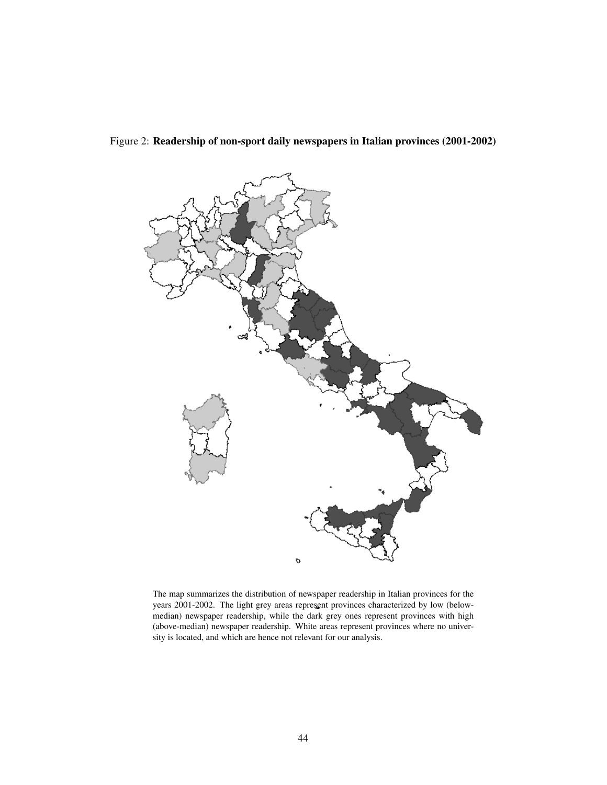

Figure 2: Readership of non-sport daily newspapers in Italian provinces (2001-2002)

The map summarizes the distribution of newspaper readership in Italian provinces for the years 2001-2002. The light grey areas represent provinces characterized by low (belowmedian) newspaper readership, while the dark grey ones represent provinces with high (above-median) newspaper readership. White areas represent provinces where no university is located, and which are hence not relevant for our analysis.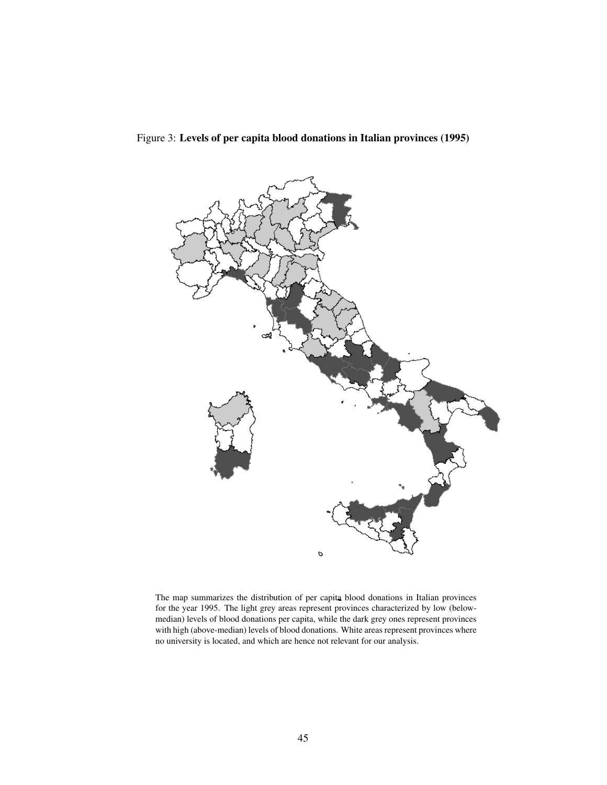

Figure 3: Levels of per capita blood donations in Italian provinces (1995)

The map summarizes the distribution of per capita blood donations in Italian provinces for the year 1995. The light grey areas represent provinces characterized by low (belowmedian) levels of blood donations per capita, while the dark grey ones represent provinces with high (above-median) levels of blood donations. White areas represent provinces where no university is located, and which are hence not relevant for our analysis.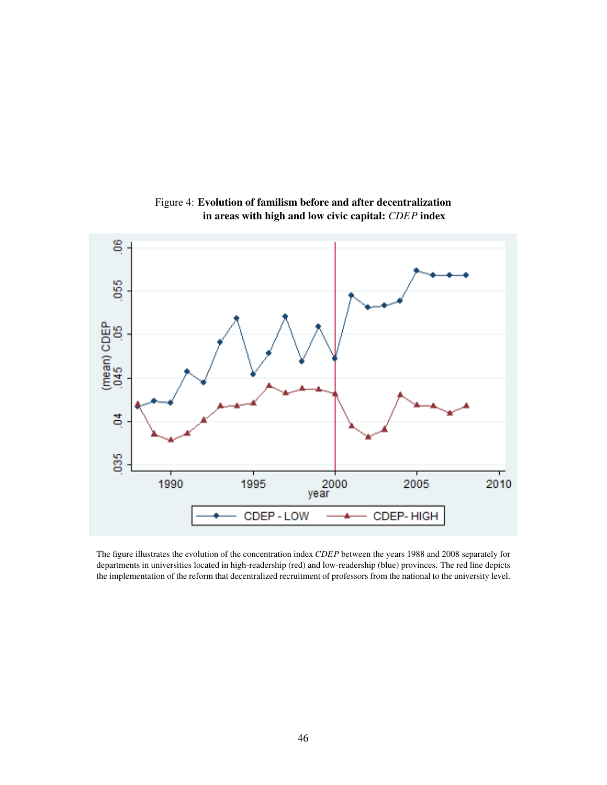

Figure 4: Evolution of familism before and after decentralization in areas with high and low civic capital: *CDEP* index

The figure illustrates the evolution of the concentration index *CDEP* between the years 1988 and 2008 separately for departments in universities located in high-readership (red) and low-readership (blue) provinces. The red line depicts the implementation of the reform that decentralized recruitment of professors from the national to the university level.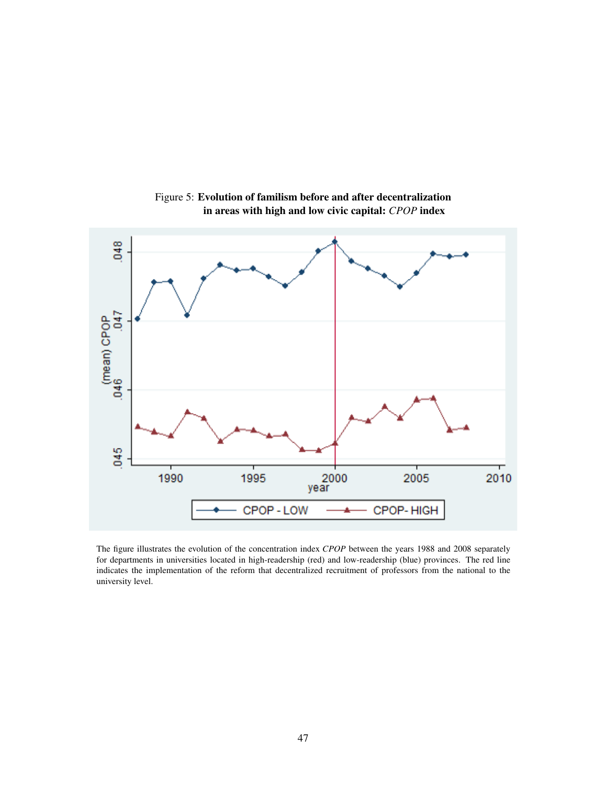

Figure 5: Evolution of familism before and after decentralization in areas with high and low civic capital: *CPOP* index

The figure illustrates the evolution of the concentration index *CPOP* between the years 1988 and 2008 separately for departments in universities located in high-readership (red) and low-readership (blue) provinces. The red line indicates the implementation of the reform that decentralized recruitment of professors from the national to the university level.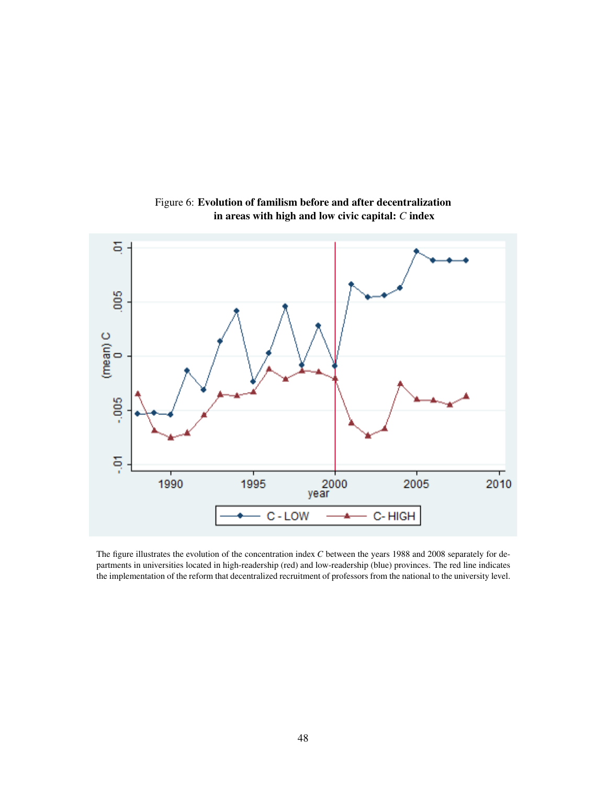

Figure 6: Evolution of familism before and after decentralization in areas with high and low civic capital: *C* index

The figure illustrates the evolution of the concentration index *C* between the years 1988 and 2008 separately for departments in universities located in high-readership (red) and low-readership (blue) provinces. The red line indicates the implementation of the reform that decentralized recruitment of professors from the national to the university level.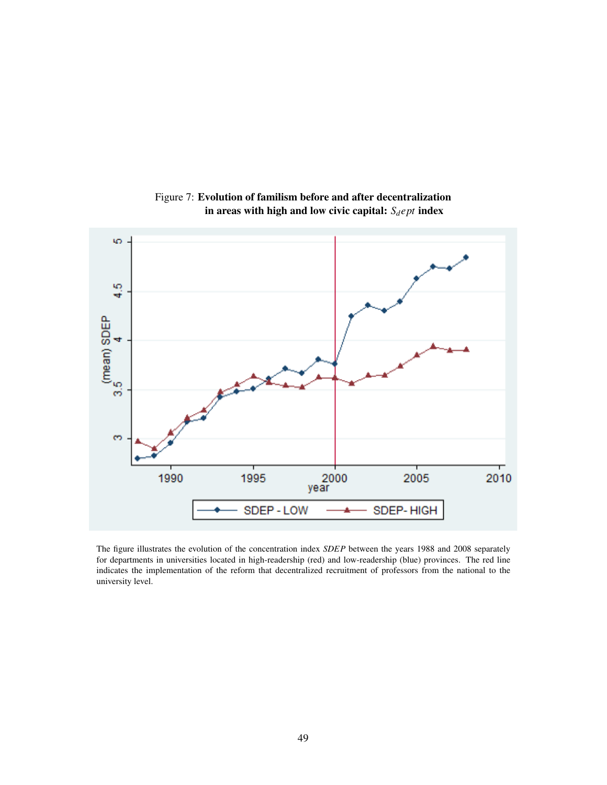

Figure 7: Evolution of familism before and after decentralization in areas with high and low civic capital:  $S_d ept$  index

The figure illustrates the evolution of the concentration index *SDEP* between the years 1988 and 2008 separately for departments in universities located in high-readership (red) and low-readership (blue) provinces. The red line indicates the implementation of the reform that decentralized recruitment of professors from the national to the university level.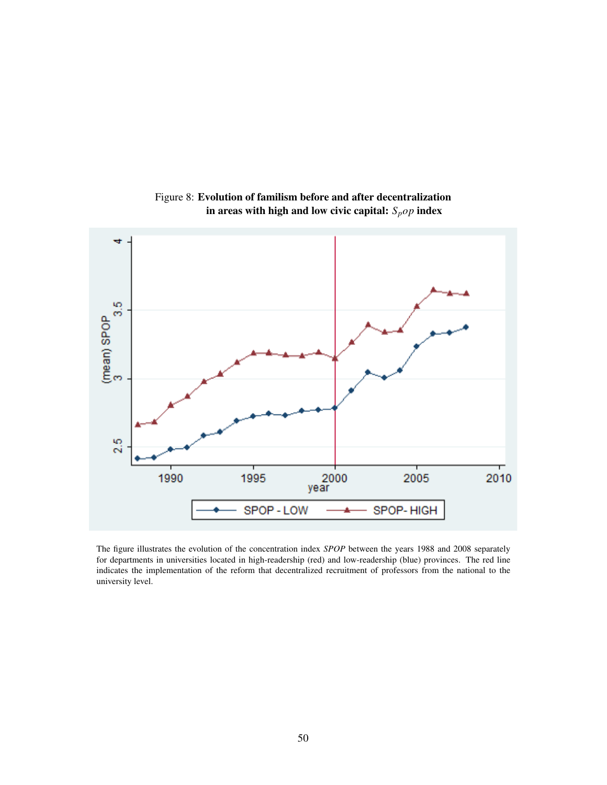

Figure 8: Evolution of familism before and after decentralization in areas with high and low civic capital: *Spop* index

The figure illustrates the evolution of the concentration index *SPOP* between the years 1988 and 2008 separately for departments in universities located in high-readership (red) and low-readership (blue) provinces. The red line indicates the implementation of the reform that decentralized recruitment of professors from the national to the university level.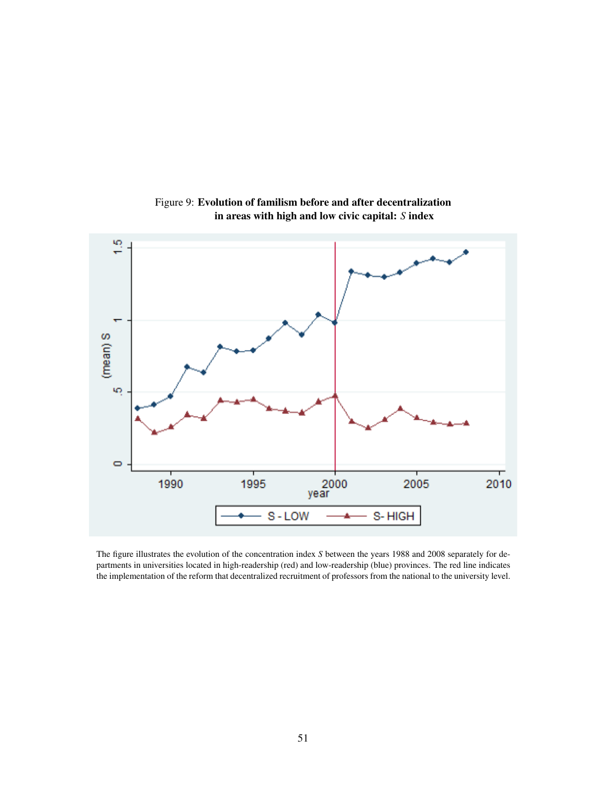

Figure 9: Evolution of familism before and after decentralization in areas with high and low civic capital: *S* index

The figure illustrates the evolution of the concentration index *S* between the years 1988 and 2008 separately for departments in universities located in high-readership (red) and low-readership (blue) provinces. The red line indicates the implementation of the reform that decentralized recruitment of professors from the national to the university level.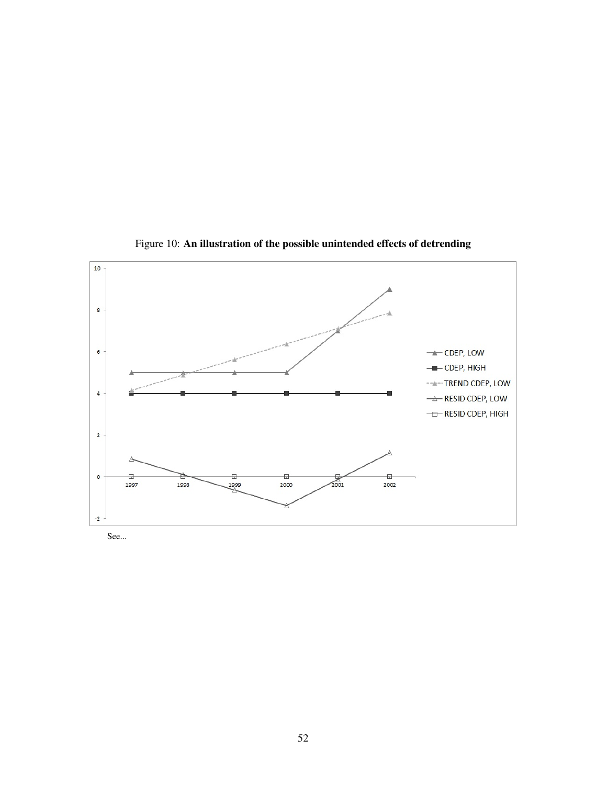

Figure 10: An illustration of the possible unintended effects of detrending

See...